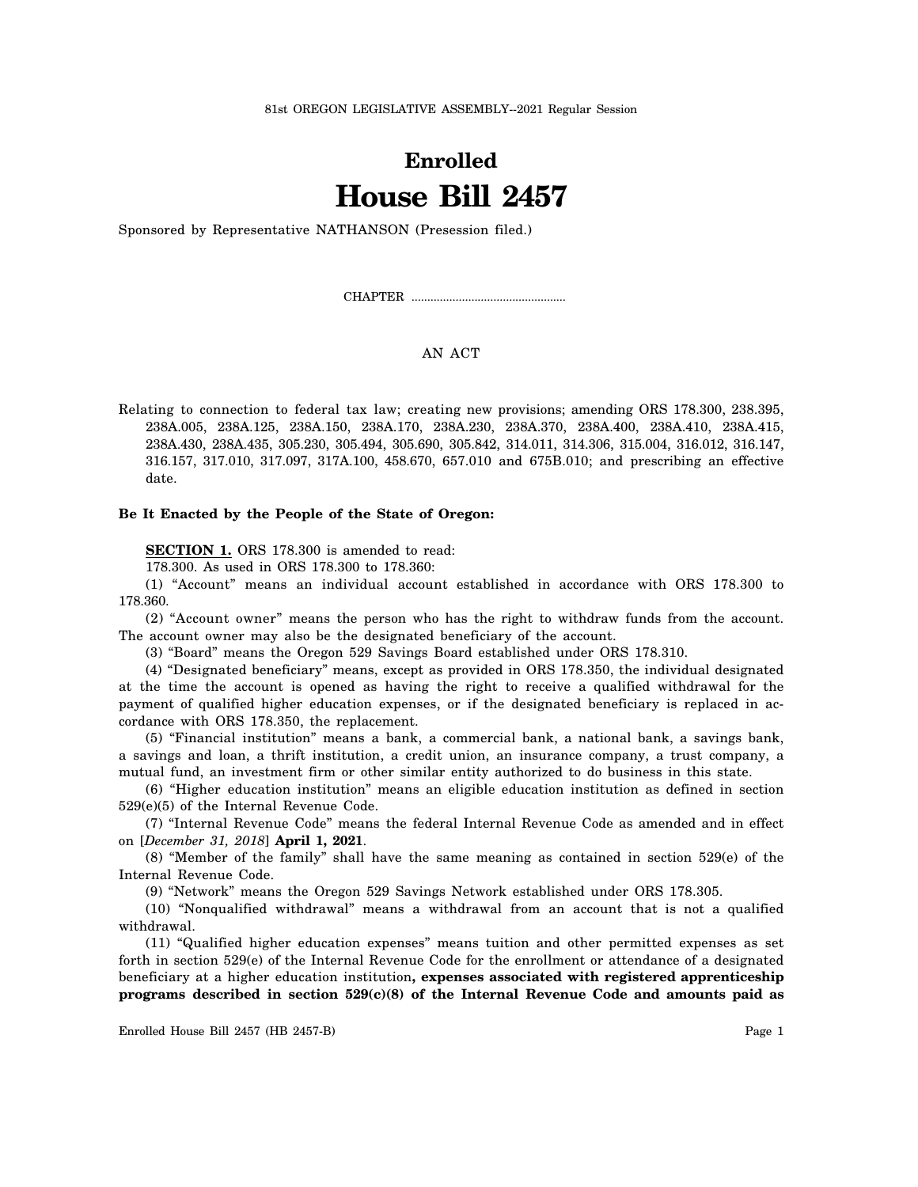81st OREGON LEGISLATIVE ASSEMBLY--2021 Regular Session

## **Enrolled House Bill 2457**

Sponsored by Representative NATHANSON (Presession filed.)

CHAPTER .................................................

## AN ACT

Relating to connection to federal tax law; creating new provisions; amending ORS 178.300, 238.395, 238A.005, 238A.125, 238A.150, 238A.170, 238A.230, 238A.370, 238A.400, 238A.410, 238A.415, 238A.430, 238A.435, 305.230, 305.494, 305.690, 305.842, 314.011, 314.306, 315.004, 316.012, 316.147, 316.157, 317.010, 317.097, 317A.100, 458.670, 657.010 and 675B.010; and prescribing an effective date.

## **Be It Enacted by the People of the State of Oregon:**

**SECTION 1.** ORS 178.300 is amended to read:

178.300. As used in ORS 178.300 to 178.360:

(1) "Account" means an individual account established in accordance with ORS 178.300 to 178.360.

(2) "Account owner" means the person who has the right to withdraw funds from the account. The account owner may also be the designated beneficiary of the account.

(3) "Board" means the Oregon 529 Savings Board established under ORS 178.310.

(4) "Designated beneficiary" means, except as provided in ORS 178.350, the individual designated at the time the account is opened as having the right to receive a qualified withdrawal for the payment of qualified higher education expenses, or if the designated beneficiary is replaced in accordance with ORS 178.350, the replacement.

(5) "Financial institution" means a bank, a commercial bank, a national bank, a savings bank, a savings and loan, a thrift institution, a credit union, an insurance company, a trust company, a mutual fund, an investment firm or other similar entity authorized to do business in this state.

(6) "Higher education institution" means an eligible education institution as defined in section 529(e)(5) of the Internal Revenue Code.

(7) "Internal Revenue Code" means the federal Internal Revenue Code as amended and in effect on [*December 31, 2018*] **April 1, 2021**.

(8) "Member of the family" shall have the same meaning as contained in section 529(e) of the Internal Revenue Code.

(9) "Network" means the Oregon 529 Savings Network established under ORS 178.305.

(10) "Nonqualified withdrawal" means a withdrawal from an account that is not a qualified withdrawal.

(11) "Qualified higher education expenses" means tuition and other permitted expenses as set forth in section 529(e) of the Internal Revenue Code for the enrollment or attendance of a designated beneficiary at a higher education institution**, expenses associated with registered apprenticeship programs described in section 529(c)(8) of the Internal Revenue Code and amounts paid as**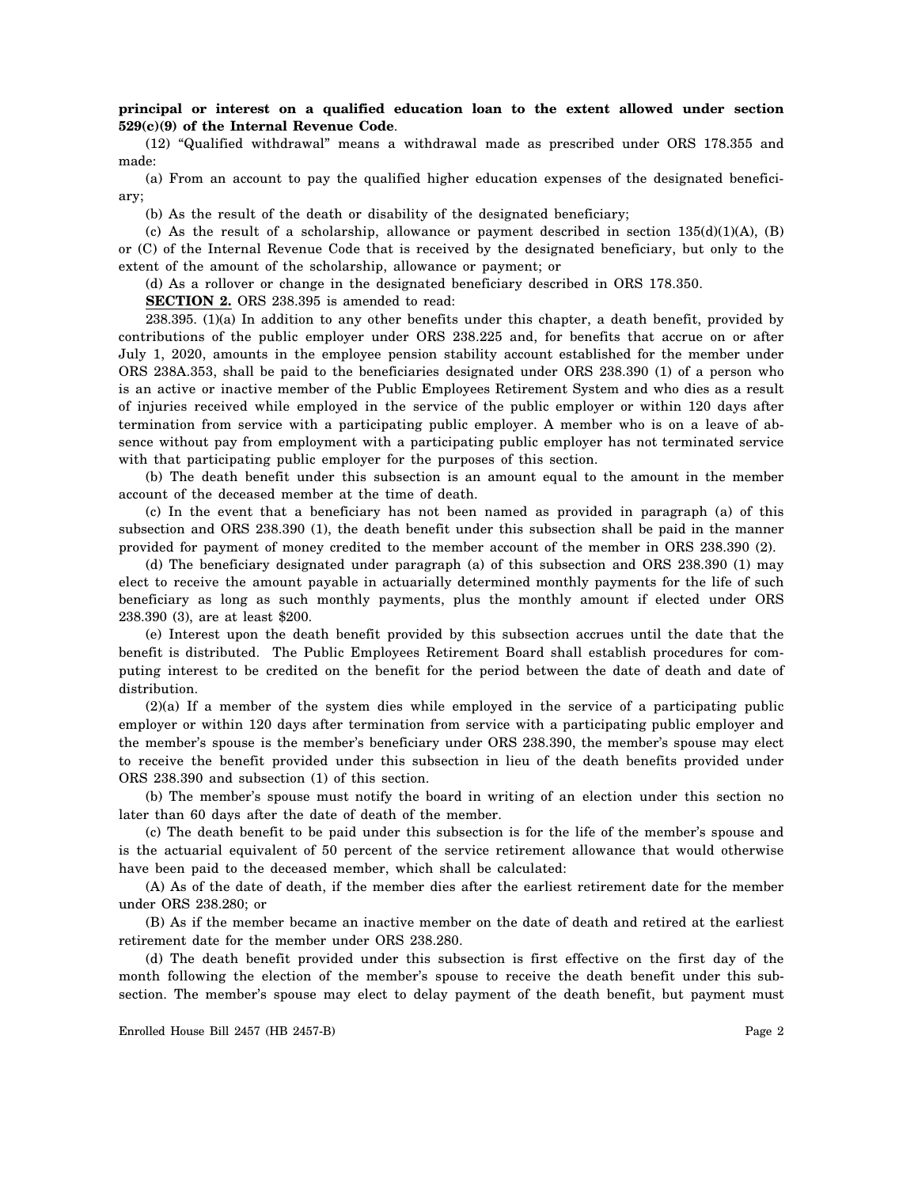## **principal or interest on a qualified education loan to the extent allowed under section 529(c)(9) of the Internal Revenue Code**.

(12) "Qualified withdrawal" means a withdrawal made as prescribed under ORS 178.355 and made:

(a) From an account to pay the qualified higher education expenses of the designated beneficiary;

(b) As the result of the death or disability of the designated beneficiary;

(c) As the result of a scholarship, allowance or payment described in section  $135(d)(1)(A)$ , (B) or (C) of the Internal Revenue Code that is received by the designated beneficiary, but only to the extent of the amount of the scholarship, allowance or payment; or

(d) As a rollover or change in the designated beneficiary described in ORS 178.350.

**SECTION 2.** ORS 238.395 is amended to read:

238.395. (1)(a) In addition to any other benefits under this chapter, a death benefit, provided by contributions of the public employer under ORS 238.225 and, for benefits that accrue on or after July 1, 2020, amounts in the employee pension stability account established for the member under ORS 238A.353, shall be paid to the beneficiaries designated under ORS 238.390 (1) of a person who is an active or inactive member of the Public Employees Retirement System and who dies as a result of injuries received while employed in the service of the public employer or within 120 days after termination from service with a participating public employer. A member who is on a leave of absence without pay from employment with a participating public employer has not terminated service with that participating public employer for the purposes of this section.

(b) The death benefit under this subsection is an amount equal to the amount in the member account of the deceased member at the time of death.

(c) In the event that a beneficiary has not been named as provided in paragraph (a) of this subsection and ORS 238.390 (1), the death benefit under this subsection shall be paid in the manner provided for payment of money credited to the member account of the member in ORS 238.390 (2).

(d) The beneficiary designated under paragraph (a) of this subsection and ORS 238.390 (1) may elect to receive the amount payable in actuarially determined monthly payments for the life of such beneficiary as long as such monthly payments, plus the monthly amount if elected under ORS 238.390 (3), are at least \$200.

(e) Interest upon the death benefit provided by this subsection accrues until the date that the benefit is distributed. The Public Employees Retirement Board shall establish procedures for computing interest to be credited on the benefit for the period between the date of death and date of distribution.

(2)(a) If a member of the system dies while employed in the service of a participating public employer or within 120 days after termination from service with a participating public employer and the member's spouse is the member's beneficiary under ORS 238.390, the member's spouse may elect to receive the benefit provided under this subsection in lieu of the death benefits provided under ORS 238.390 and subsection (1) of this section.

(b) The member's spouse must notify the board in writing of an election under this section no later than 60 days after the date of death of the member.

(c) The death benefit to be paid under this subsection is for the life of the member's spouse and is the actuarial equivalent of 50 percent of the service retirement allowance that would otherwise have been paid to the deceased member, which shall be calculated:

(A) As of the date of death, if the member dies after the earliest retirement date for the member under ORS 238.280; or

(B) As if the member became an inactive member on the date of death and retired at the earliest retirement date for the member under ORS 238.280.

(d) The death benefit provided under this subsection is first effective on the first day of the month following the election of the member's spouse to receive the death benefit under this subsection. The member's spouse may elect to delay payment of the death benefit, but payment must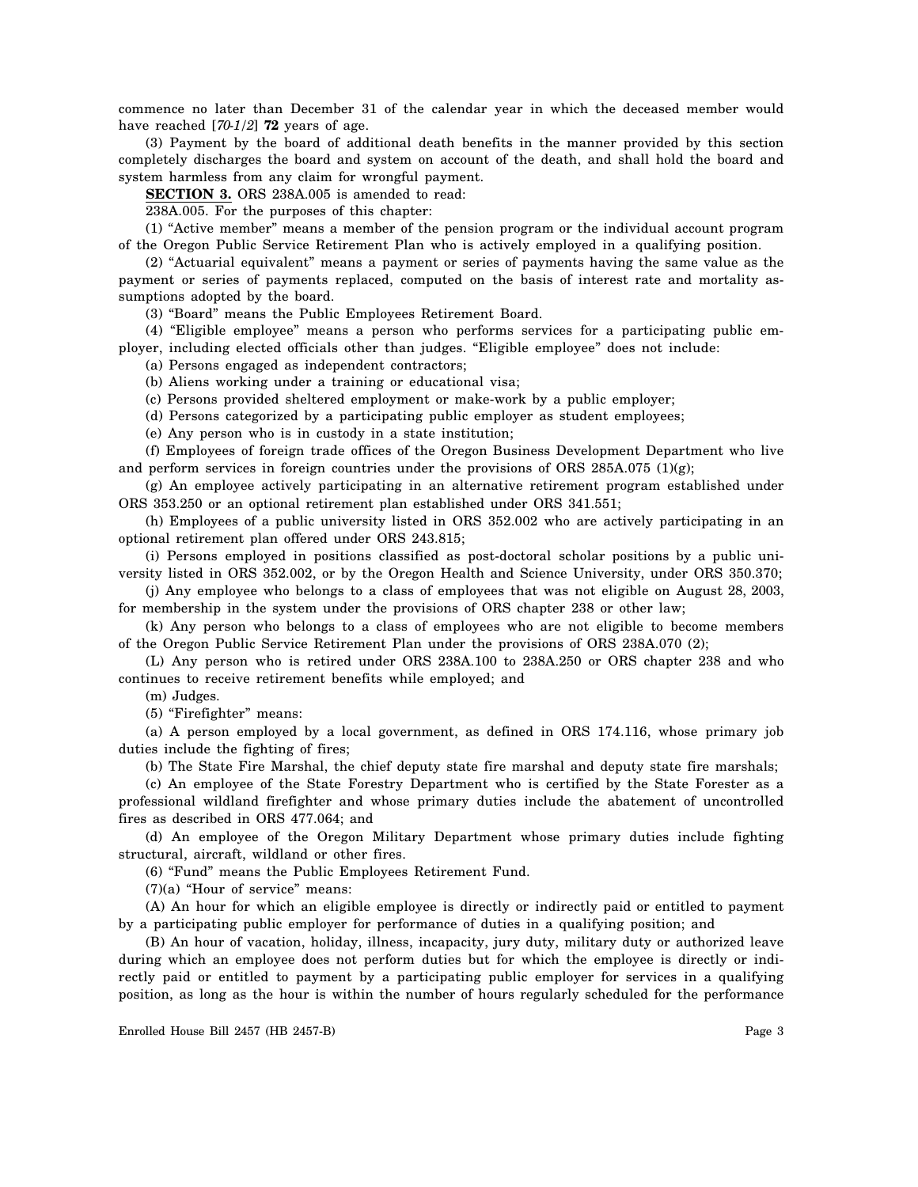commence no later than December 31 of the calendar year in which the deceased member would have reached [*70-1/2*] **72** years of age.

(3) Payment by the board of additional death benefits in the manner provided by this section completely discharges the board and system on account of the death, and shall hold the board and system harmless from any claim for wrongful payment.

**SECTION 3.** ORS 238A.005 is amended to read:

238A.005. For the purposes of this chapter:

(1) "Active member" means a member of the pension program or the individual account program of the Oregon Public Service Retirement Plan who is actively employed in a qualifying position.

(2) "Actuarial equivalent" means a payment or series of payments having the same value as the payment or series of payments replaced, computed on the basis of interest rate and mortality assumptions adopted by the board.

(3) "Board" means the Public Employees Retirement Board.

(4) "Eligible employee" means a person who performs services for a participating public employer, including elected officials other than judges. "Eligible employee" does not include:

(a) Persons engaged as independent contractors;

(b) Aliens working under a training or educational visa;

(c) Persons provided sheltered employment or make-work by a public employer;

(d) Persons categorized by a participating public employer as student employees;

(e) Any person who is in custody in a state institution;

(f) Employees of foreign trade offices of the Oregon Business Development Department who live and perform services in foreign countries under the provisions of ORS 285A.075 (1)(g);

(g) An employee actively participating in an alternative retirement program established under ORS 353.250 or an optional retirement plan established under ORS 341.551;

(h) Employees of a public university listed in ORS 352.002 who are actively participating in an optional retirement plan offered under ORS 243.815;

(i) Persons employed in positions classified as post-doctoral scholar positions by a public university listed in ORS 352.002, or by the Oregon Health and Science University, under ORS 350.370;

(j) Any employee who belongs to a class of employees that was not eligible on August 28, 2003, for membership in the system under the provisions of ORS chapter 238 or other law;

(k) Any person who belongs to a class of employees who are not eligible to become members of the Oregon Public Service Retirement Plan under the provisions of ORS 238A.070 (2);

(L) Any person who is retired under ORS 238A.100 to 238A.250 or ORS chapter 238 and who continues to receive retirement benefits while employed; and

(m) Judges.

(5) "Firefighter" means:

(a) A person employed by a local government, as defined in ORS 174.116, whose primary job duties include the fighting of fires;

(b) The State Fire Marshal, the chief deputy state fire marshal and deputy state fire marshals;

(c) An employee of the State Forestry Department who is certified by the State Forester as a professional wildland firefighter and whose primary duties include the abatement of uncontrolled fires as described in ORS 477.064; and

(d) An employee of the Oregon Military Department whose primary duties include fighting structural, aircraft, wildland or other fires.

(6) "Fund" means the Public Employees Retirement Fund.

(7)(a) "Hour of service" means:

(A) An hour for which an eligible employee is directly or indirectly paid or entitled to payment by a participating public employer for performance of duties in a qualifying position; and

(B) An hour of vacation, holiday, illness, incapacity, jury duty, military duty or authorized leave during which an employee does not perform duties but for which the employee is directly or indirectly paid or entitled to payment by a participating public employer for services in a qualifying position, as long as the hour is within the number of hours regularly scheduled for the performance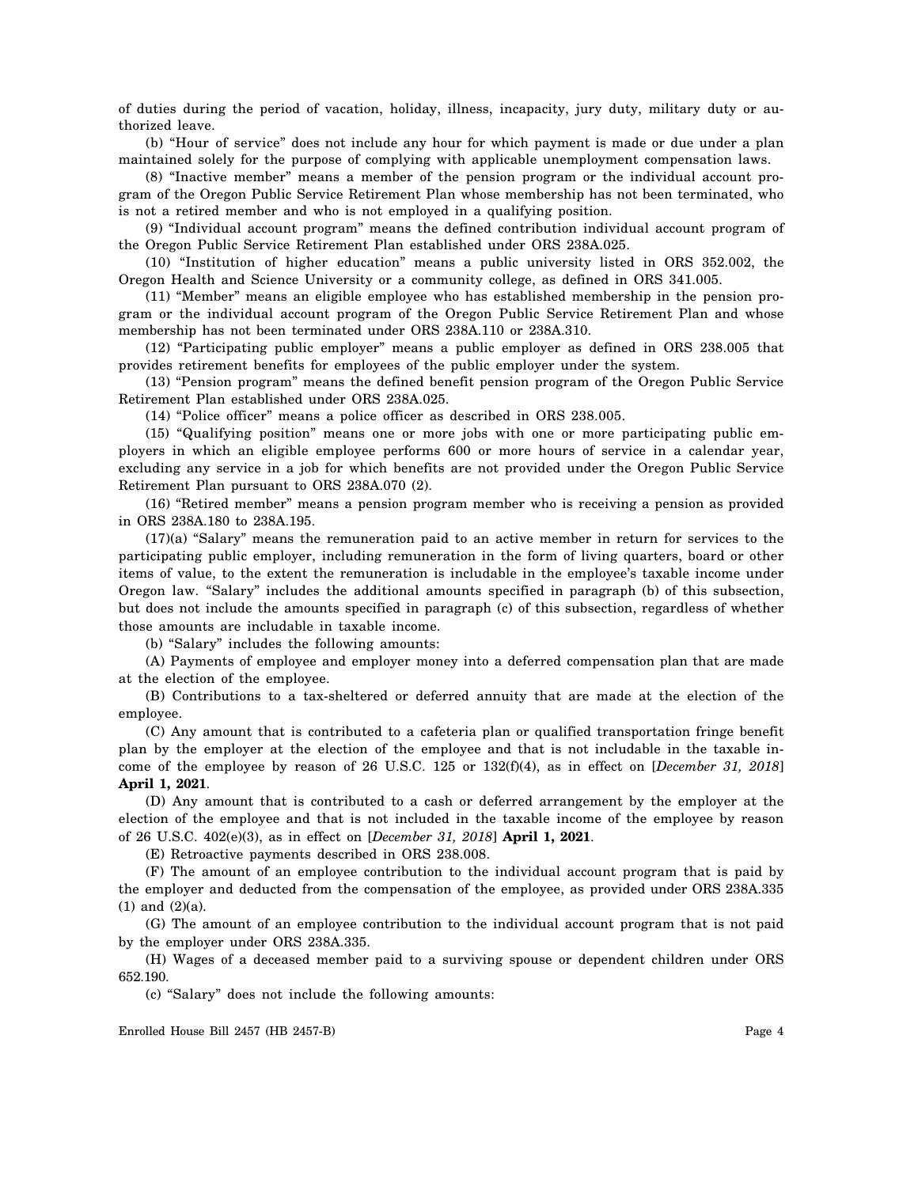of duties during the period of vacation, holiday, illness, incapacity, jury duty, military duty or authorized leave.

(b) "Hour of service" does not include any hour for which payment is made or due under a plan maintained solely for the purpose of complying with applicable unemployment compensation laws.

(8) "Inactive member" means a member of the pension program or the individual account program of the Oregon Public Service Retirement Plan whose membership has not been terminated, who is not a retired member and who is not employed in a qualifying position.

(9) "Individual account program" means the defined contribution individual account program of the Oregon Public Service Retirement Plan established under ORS 238A.025.

(10) "Institution of higher education" means a public university listed in ORS 352.002, the Oregon Health and Science University or a community college, as defined in ORS 341.005.

(11) "Member" means an eligible employee who has established membership in the pension program or the individual account program of the Oregon Public Service Retirement Plan and whose membership has not been terminated under ORS 238A.110 or 238A.310.

(12) "Participating public employer" means a public employer as defined in ORS 238.005 that provides retirement benefits for employees of the public employer under the system.

(13) "Pension program" means the defined benefit pension program of the Oregon Public Service Retirement Plan established under ORS 238A.025.

(14) "Police officer" means a police officer as described in ORS 238.005.

(15) "Qualifying position" means one or more jobs with one or more participating public employers in which an eligible employee performs 600 or more hours of service in a calendar year, excluding any service in a job for which benefits are not provided under the Oregon Public Service Retirement Plan pursuant to ORS 238A.070 (2).

(16) "Retired member" means a pension program member who is receiving a pension as provided in ORS 238A.180 to 238A.195.

(17)(a) "Salary" means the remuneration paid to an active member in return for services to the participating public employer, including remuneration in the form of living quarters, board or other items of value, to the extent the remuneration is includable in the employee's taxable income under Oregon law. "Salary" includes the additional amounts specified in paragraph (b) of this subsection, but does not include the amounts specified in paragraph (c) of this subsection, regardless of whether those amounts are includable in taxable income.

(b) "Salary" includes the following amounts:

(A) Payments of employee and employer money into a deferred compensation plan that are made at the election of the employee.

(B) Contributions to a tax-sheltered or deferred annuity that are made at the election of the employee.

(C) Any amount that is contributed to a cafeteria plan or qualified transportation fringe benefit plan by the employer at the election of the employee and that is not includable in the taxable income of the employee by reason of 26 U.S.C. 125 or 132(f)(4), as in effect on [*December 31, 2018*] **April 1, 2021**.

(D) Any amount that is contributed to a cash or deferred arrangement by the employer at the election of the employee and that is not included in the taxable income of the employee by reason of 26 U.S.C. 402(e)(3), as in effect on [*December 31, 2018*] **April 1, 2021**.

(E) Retroactive payments described in ORS 238.008.

(F) The amount of an employee contribution to the individual account program that is paid by the employer and deducted from the compensation of the employee, as provided under ORS 238A.335 (1) and (2)(a).

(G) The amount of an employee contribution to the individual account program that is not paid by the employer under ORS 238A.335.

(H) Wages of a deceased member paid to a surviving spouse or dependent children under ORS 652.190.

(c) "Salary" does not include the following amounts: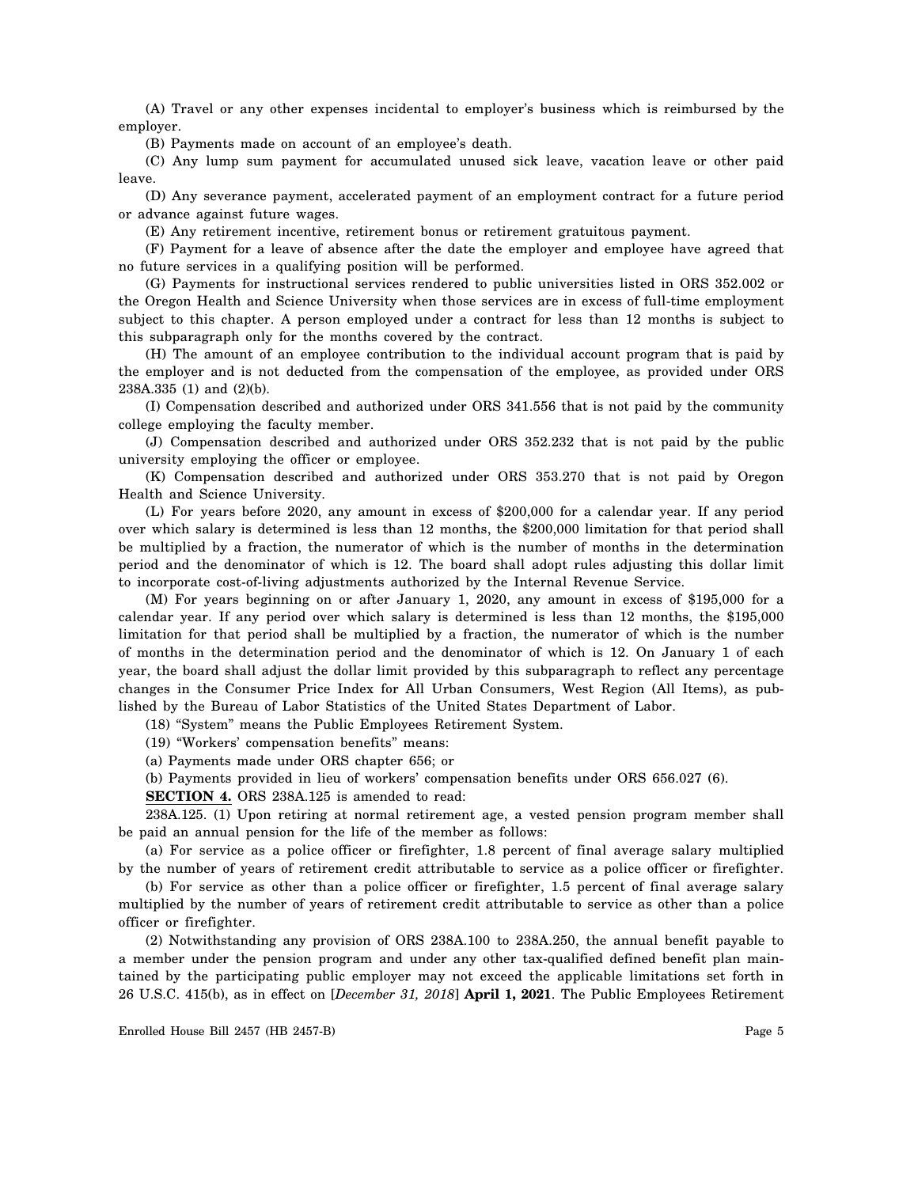(A) Travel or any other expenses incidental to employer's business which is reimbursed by the employer.

(B) Payments made on account of an employee's death.

(C) Any lump sum payment for accumulated unused sick leave, vacation leave or other paid leave.

(D) Any severance payment, accelerated payment of an employment contract for a future period or advance against future wages.

(E) Any retirement incentive, retirement bonus or retirement gratuitous payment.

(F) Payment for a leave of absence after the date the employer and employee have agreed that no future services in a qualifying position will be performed.

(G) Payments for instructional services rendered to public universities listed in ORS 352.002 or the Oregon Health and Science University when those services are in excess of full-time employment subject to this chapter. A person employed under a contract for less than 12 months is subject to this subparagraph only for the months covered by the contract.

(H) The amount of an employee contribution to the individual account program that is paid by the employer and is not deducted from the compensation of the employee, as provided under ORS 238A.335 (1) and (2)(b).

(I) Compensation described and authorized under ORS 341.556 that is not paid by the community college employing the faculty member.

(J) Compensation described and authorized under ORS 352.232 that is not paid by the public university employing the officer or employee.

(K) Compensation described and authorized under ORS 353.270 that is not paid by Oregon Health and Science University.

(L) For years before 2020, any amount in excess of \$200,000 for a calendar year. If any period over which salary is determined is less than 12 months, the \$200,000 limitation for that period shall be multiplied by a fraction, the numerator of which is the number of months in the determination period and the denominator of which is 12. The board shall adopt rules adjusting this dollar limit to incorporate cost-of-living adjustments authorized by the Internal Revenue Service.

(M) For years beginning on or after January 1, 2020, any amount in excess of \$195,000 for a calendar year. If any period over which salary is determined is less than 12 months, the \$195,000 limitation for that period shall be multiplied by a fraction, the numerator of which is the number of months in the determination period and the denominator of which is 12. On January 1 of each year, the board shall adjust the dollar limit provided by this subparagraph to reflect any percentage changes in the Consumer Price Index for All Urban Consumers, West Region (All Items), as published by the Bureau of Labor Statistics of the United States Department of Labor.

(18) "System" means the Public Employees Retirement System.

- (19) "Workers' compensation benefits" means:
- (a) Payments made under ORS chapter 656; or

(b) Payments provided in lieu of workers' compensation benefits under ORS 656.027 (6).

**SECTION 4.** ORS 238A.125 is amended to read:

238A.125. (1) Upon retiring at normal retirement age, a vested pension program member shall be paid an annual pension for the life of the member as follows:

(a) For service as a police officer or firefighter, 1.8 percent of final average salary multiplied by the number of years of retirement credit attributable to service as a police officer or firefighter.

(b) For service as other than a police officer or firefighter, 1.5 percent of final average salary multiplied by the number of years of retirement credit attributable to service as other than a police officer or firefighter.

(2) Notwithstanding any provision of ORS 238A.100 to 238A.250, the annual benefit payable to a member under the pension program and under any other tax-qualified defined benefit plan maintained by the participating public employer may not exceed the applicable limitations set forth in 26 U.S.C. 415(b), as in effect on [*December 31, 2018*] **April 1, 2021**. The Public Employees Retirement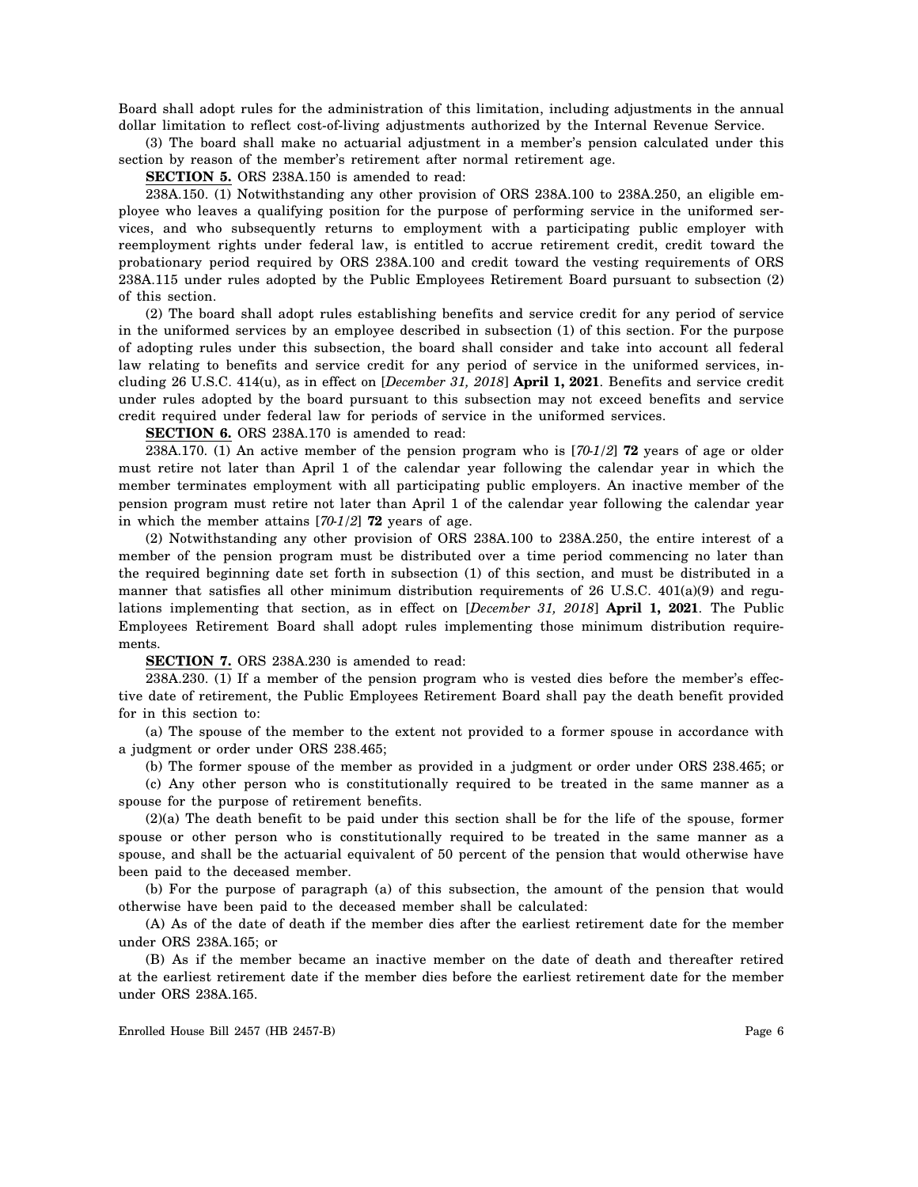Board shall adopt rules for the administration of this limitation, including adjustments in the annual dollar limitation to reflect cost-of-living adjustments authorized by the Internal Revenue Service.

(3) The board shall make no actuarial adjustment in a member's pension calculated under this section by reason of the member's retirement after normal retirement age.

**SECTION 5.** ORS 238A.150 is amended to read:

238A.150. (1) Notwithstanding any other provision of ORS 238A.100 to 238A.250, an eligible employee who leaves a qualifying position for the purpose of performing service in the uniformed services, and who subsequently returns to employment with a participating public employer with reemployment rights under federal law, is entitled to accrue retirement credit, credit toward the probationary period required by ORS 238A.100 and credit toward the vesting requirements of ORS 238A.115 under rules adopted by the Public Employees Retirement Board pursuant to subsection (2) of this section.

(2) The board shall adopt rules establishing benefits and service credit for any period of service in the uniformed services by an employee described in subsection (1) of this section. For the purpose of adopting rules under this subsection, the board shall consider and take into account all federal law relating to benefits and service credit for any period of service in the uniformed services, including 26 U.S.C. 414(u), as in effect on [*December 31, 2018*] **April 1, 2021**. Benefits and service credit under rules adopted by the board pursuant to this subsection may not exceed benefits and service credit required under federal law for periods of service in the uniformed services.

**SECTION 6.** ORS 238A.170 is amended to read:

238A.170. (1) An active member of the pension program who is [*70-1/2*] **72** years of age or older must retire not later than April 1 of the calendar year following the calendar year in which the member terminates employment with all participating public employers. An inactive member of the pension program must retire not later than April 1 of the calendar year following the calendar year in which the member attains [*70-1/2*] **72** years of age.

(2) Notwithstanding any other provision of ORS 238A.100 to 238A.250, the entire interest of a member of the pension program must be distributed over a time period commencing no later than the required beginning date set forth in subsection (1) of this section, and must be distributed in a manner that satisfies all other minimum distribution requirements of 26 U.S.C. 401(a)(9) and regulations implementing that section, as in effect on [*December 31, 2018*] **April 1, 2021**. The Public Employees Retirement Board shall adopt rules implementing those minimum distribution requirements.

**SECTION 7.** ORS 238A.230 is amended to read:

238A.230. (1) If a member of the pension program who is vested dies before the member's effective date of retirement, the Public Employees Retirement Board shall pay the death benefit provided for in this section to:

(a) The spouse of the member to the extent not provided to a former spouse in accordance with a judgment or order under ORS 238.465;

(b) The former spouse of the member as provided in a judgment or order under ORS 238.465; or

(c) Any other person who is constitutionally required to be treated in the same manner as a spouse for the purpose of retirement benefits.

(2)(a) The death benefit to be paid under this section shall be for the life of the spouse, former spouse or other person who is constitutionally required to be treated in the same manner as a spouse, and shall be the actuarial equivalent of 50 percent of the pension that would otherwise have been paid to the deceased member.

(b) For the purpose of paragraph (a) of this subsection, the amount of the pension that would otherwise have been paid to the deceased member shall be calculated:

(A) As of the date of death if the member dies after the earliest retirement date for the member under ORS 238A.165; or

(B) As if the member became an inactive member on the date of death and thereafter retired at the earliest retirement date if the member dies before the earliest retirement date for the member under ORS 238A.165.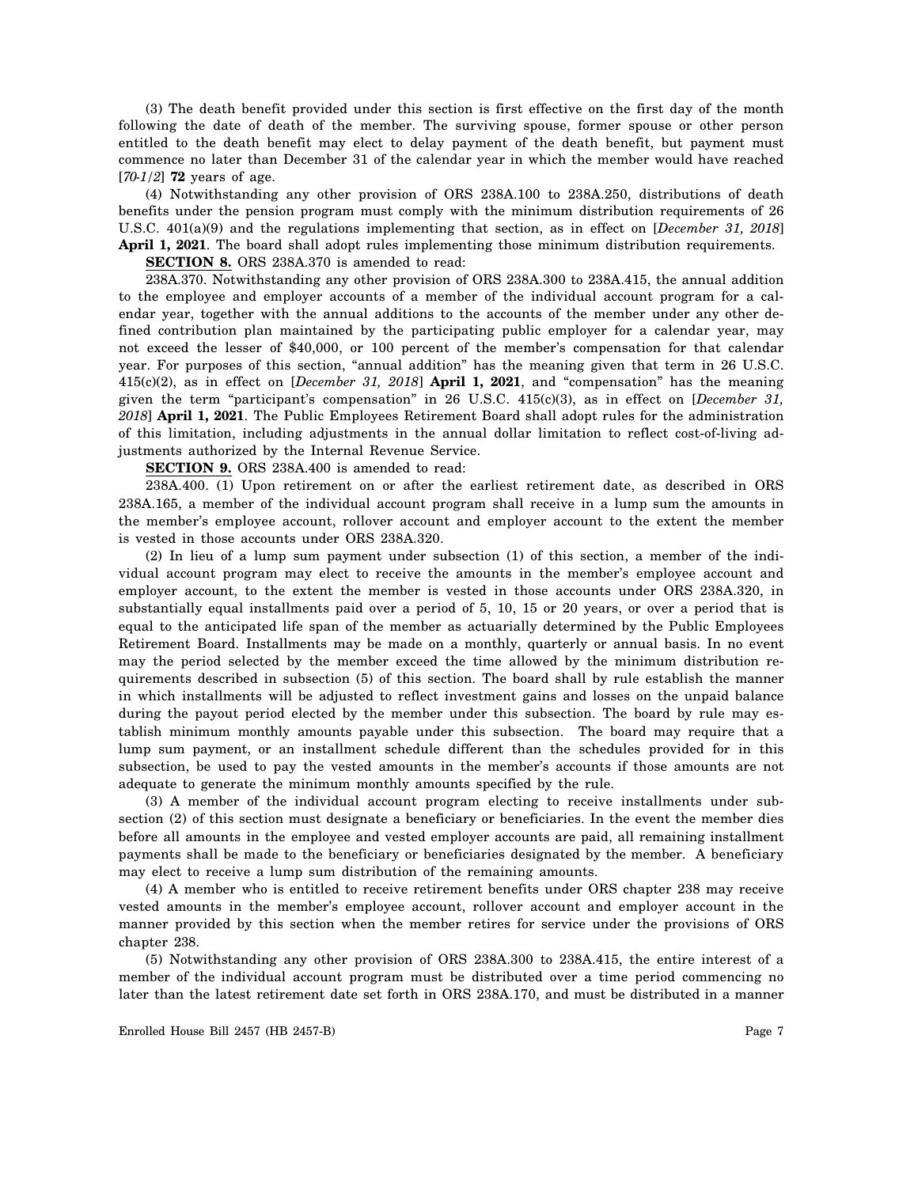(3) The death benefit provided under this section is first effective on the first day of the month following the date of death of the member. The surviving spouse, former spouse or other person entitled to the death benefit may elect to delay payment of the death benefit, but payment must commence no later than December 31 of the calendar year in which the member would have reached [*70-1/2*] **72** years of age.

(4) Notwithstanding any other provision of ORS 238A.100 to 238A.250, distributions of death benefits under the pension program must comply with the minimum distribution requirements of 26 U.S.C. 401(a)(9) and the regulations implementing that section, as in effect on [*December 31, 2018*] **April 1, 2021**. The board shall adopt rules implementing those minimum distribution requirements.

**SECTION 8.** ORS 238A.370 is amended to read:

238A.370. Notwithstanding any other provision of ORS 238A.300 to 238A.415, the annual addition to the employee and employer accounts of a member of the individual account program for a calendar year, together with the annual additions to the accounts of the member under any other defined contribution plan maintained by the participating public employer for a calendar year, may not exceed the lesser of \$40,000, or 100 percent of the member's compensation for that calendar year. For purposes of this section, "annual addition" has the meaning given that term in 26 U.S.C. 415(c)(2), as in effect on [*December 31, 2018*] **April 1, 2021**, and "compensation" has the meaning given the term "participant's compensation" in 26 U.S.C. 415(c)(3), as in effect on [*December 31, 2018*] **April 1, 2021**. The Public Employees Retirement Board shall adopt rules for the administration of this limitation, including adjustments in the annual dollar limitation to reflect cost-of-living adjustments authorized by the Internal Revenue Service.

**SECTION 9.** ORS 238A.400 is amended to read:

238A.400. (1) Upon retirement on or after the earliest retirement date, as described in ORS 238A.165, a member of the individual account program shall receive in a lump sum the amounts in the member's employee account, rollover account and employer account to the extent the member is vested in those accounts under ORS 238A.320.

(2) In lieu of a lump sum payment under subsection (1) of this section, a member of the individual account program may elect to receive the amounts in the member's employee account and employer account, to the extent the member is vested in those accounts under ORS 238A.320, in substantially equal installments paid over a period of 5, 10, 15 or 20 years, or over a period that is equal to the anticipated life span of the member as actuarially determined by the Public Employees Retirement Board. Installments may be made on a monthly, quarterly or annual basis. In no event may the period selected by the member exceed the time allowed by the minimum distribution requirements described in subsection (5) of this section. The board shall by rule establish the manner in which installments will be adjusted to reflect investment gains and losses on the unpaid balance during the payout period elected by the member under this subsection. The board by rule may establish minimum monthly amounts payable under this subsection. The board may require that a lump sum payment, or an installment schedule different than the schedules provided for in this subsection, be used to pay the vested amounts in the member's accounts if those amounts are not adequate to generate the minimum monthly amounts specified by the rule.

(3) A member of the individual account program electing to receive installments under subsection (2) of this section must designate a beneficiary or beneficiaries. In the event the member dies before all amounts in the employee and vested employer accounts are paid, all remaining installment payments shall be made to the beneficiary or beneficiaries designated by the member. A beneficiary may elect to receive a lump sum distribution of the remaining amounts.

(4) A member who is entitled to receive retirement benefits under ORS chapter 238 may receive vested amounts in the member's employee account, rollover account and employer account in the manner provided by this section when the member retires for service under the provisions of ORS chapter 238.

(5) Notwithstanding any other provision of ORS 238A.300 to 238A.415, the entire interest of a member of the individual account program must be distributed over a time period commencing no later than the latest retirement date set forth in ORS 238A.170, and must be distributed in a manner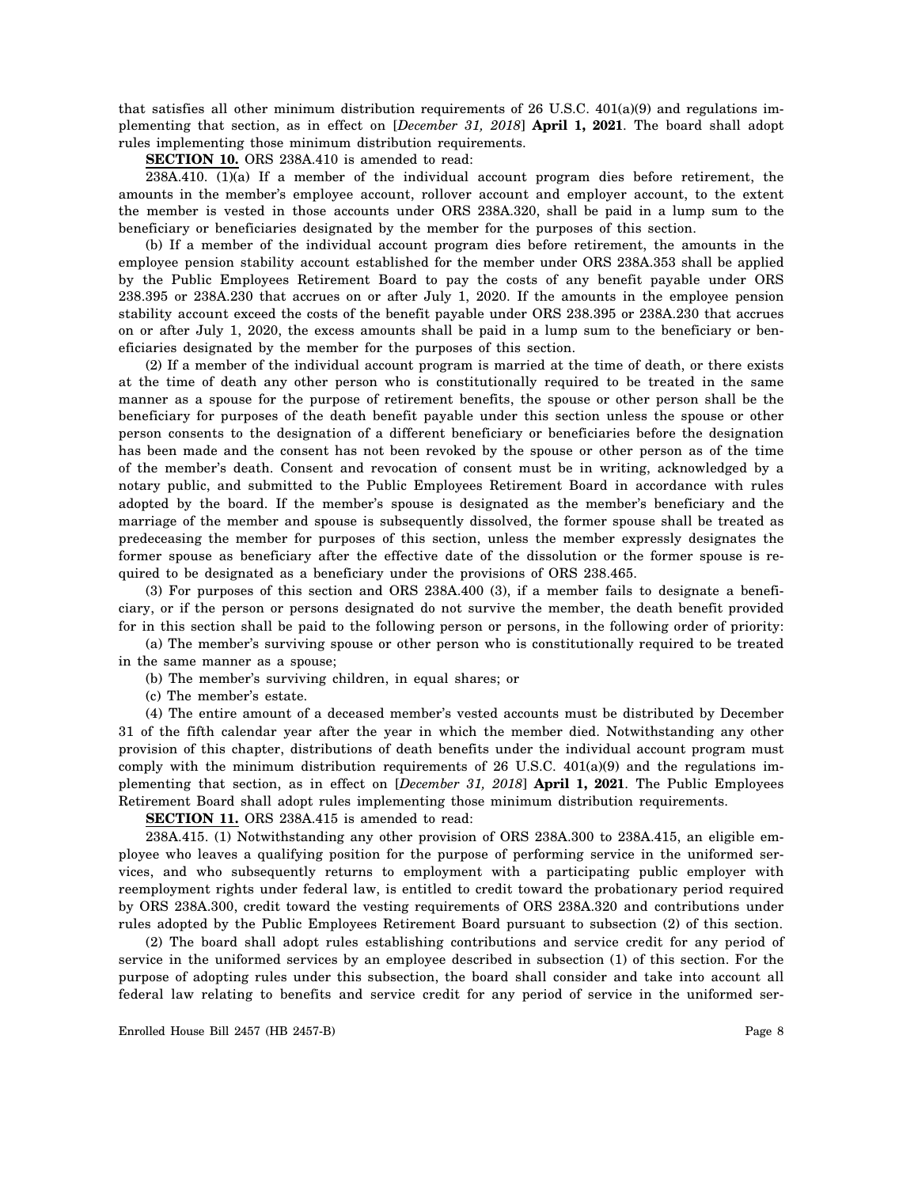that satisfies all other minimum distribution requirements of 26 U.S.C.  $401(a)(9)$  and regulations implementing that section, as in effect on [*December 31, 2018*] **April 1, 2021**. The board shall adopt rules implementing those minimum distribution requirements.

**SECTION 10.** ORS 238A.410 is amended to read:

238A.410. (1)(a) If a member of the individual account program dies before retirement, the amounts in the member's employee account, rollover account and employer account, to the extent the member is vested in those accounts under ORS 238A.320, shall be paid in a lump sum to the beneficiary or beneficiaries designated by the member for the purposes of this section.

(b) If a member of the individual account program dies before retirement, the amounts in the employee pension stability account established for the member under ORS 238A.353 shall be applied by the Public Employees Retirement Board to pay the costs of any benefit payable under ORS 238.395 or 238A.230 that accrues on or after July 1, 2020. If the amounts in the employee pension stability account exceed the costs of the benefit payable under ORS 238.395 or 238A.230 that accrues on or after July 1, 2020, the excess amounts shall be paid in a lump sum to the beneficiary or beneficiaries designated by the member for the purposes of this section.

(2) If a member of the individual account program is married at the time of death, or there exists at the time of death any other person who is constitutionally required to be treated in the same manner as a spouse for the purpose of retirement benefits, the spouse or other person shall be the beneficiary for purposes of the death benefit payable under this section unless the spouse or other person consents to the designation of a different beneficiary or beneficiaries before the designation has been made and the consent has not been revoked by the spouse or other person as of the time of the member's death. Consent and revocation of consent must be in writing, acknowledged by a notary public, and submitted to the Public Employees Retirement Board in accordance with rules adopted by the board. If the member's spouse is designated as the member's beneficiary and the marriage of the member and spouse is subsequently dissolved, the former spouse shall be treated as predeceasing the member for purposes of this section, unless the member expressly designates the former spouse as beneficiary after the effective date of the dissolution or the former spouse is required to be designated as a beneficiary under the provisions of ORS 238.465.

(3) For purposes of this section and ORS 238A.400 (3), if a member fails to designate a beneficiary, or if the person or persons designated do not survive the member, the death benefit provided for in this section shall be paid to the following person or persons, in the following order of priority:

(a) The member's surviving spouse or other person who is constitutionally required to be treated in the same manner as a spouse;

(b) The member's surviving children, in equal shares; or

(c) The member's estate.

(4) The entire amount of a deceased member's vested accounts must be distributed by December 31 of the fifth calendar year after the year in which the member died. Notwithstanding any other provision of this chapter, distributions of death benefits under the individual account program must comply with the minimum distribution requirements of  $26$  U.S.C.  $401(a)(9)$  and the regulations implementing that section, as in effect on [*December 31, 2018*] **April 1, 2021**. The Public Employees Retirement Board shall adopt rules implementing those minimum distribution requirements.

**SECTION 11.** ORS 238A.415 is amended to read:

238A.415. (1) Notwithstanding any other provision of ORS 238A.300 to 238A.415, an eligible employee who leaves a qualifying position for the purpose of performing service in the uniformed services, and who subsequently returns to employment with a participating public employer with reemployment rights under federal law, is entitled to credit toward the probationary period required by ORS 238A.300, credit toward the vesting requirements of ORS 238A.320 and contributions under rules adopted by the Public Employees Retirement Board pursuant to subsection (2) of this section.

(2) The board shall adopt rules establishing contributions and service credit for any period of service in the uniformed services by an employee described in subsection (1) of this section. For the purpose of adopting rules under this subsection, the board shall consider and take into account all federal law relating to benefits and service credit for any period of service in the uniformed ser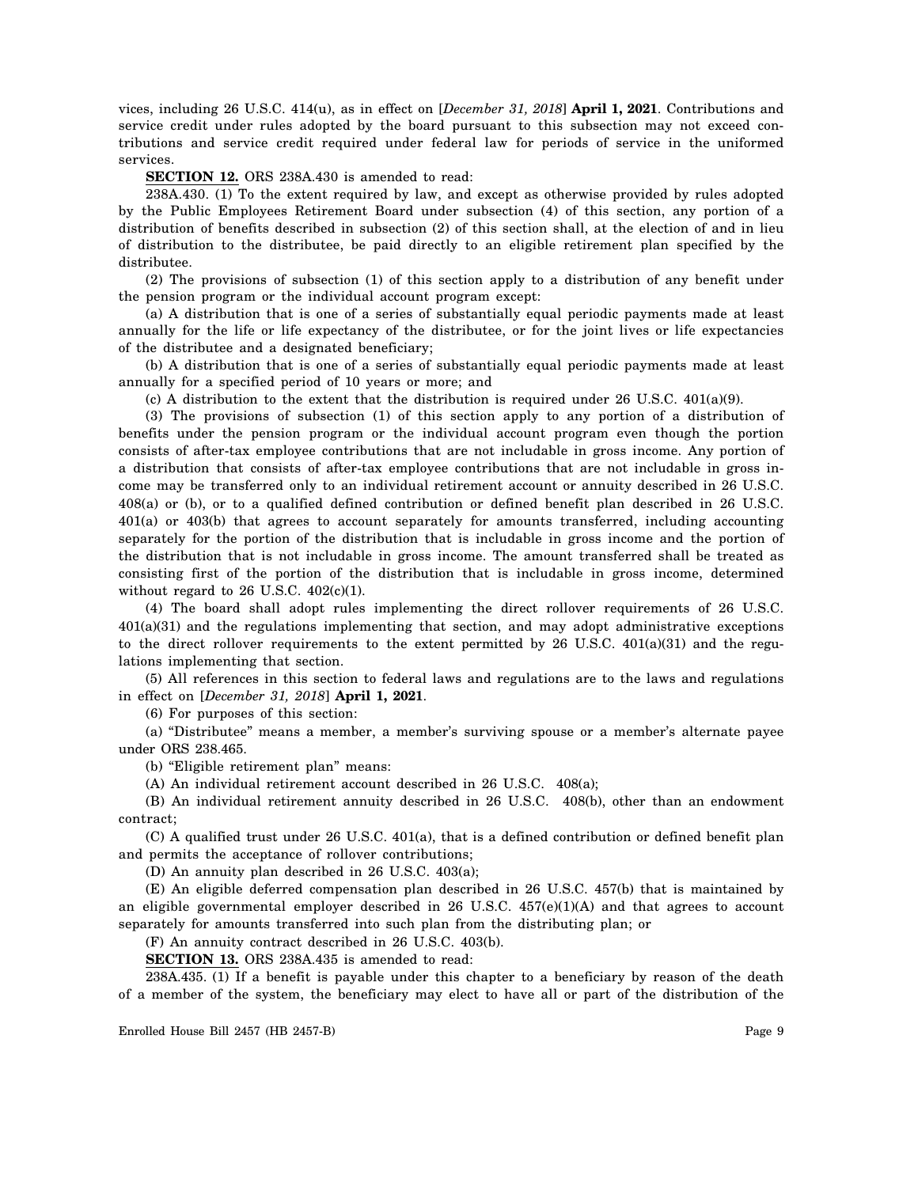vices, including 26 U.S.C. 414(u), as in effect on [*December 31, 2018*] **April 1, 2021**. Contributions and service credit under rules adopted by the board pursuant to this subsection may not exceed contributions and service credit required under federal law for periods of service in the uniformed services.

**SECTION 12.** ORS 238A.430 is amended to read:

238A.430. (1) To the extent required by law, and except as otherwise provided by rules adopted by the Public Employees Retirement Board under subsection (4) of this section, any portion of a distribution of benefits described in subsection (2) of this section shall, at the election of and in lieu of distribution to the distributee, be paid directly to an eligible retirement plan specified by the distributee.

(2) The provisions of subsection (1) of this section apply to a distribution of any benefit under the pension program or the individual account program except:

(a) A distribution that is one of a series of substantially equal periodic payments made at least annually for the life or life expectancy of the distributee, or for the joint lives or life expectancies of the distributee and a designated beneficiary;

(b) A distribution that is one of a series of substantially equal periodic payments made at least annually for a specified period of 10 years or more; and

(c) A distribution to the extent that the distribution is required under 26 U.S.C.  $401(a)(9)$ .

(3) The provisions of subsection (1) of this section apply to any portion of a distribution of benefits under the pension program or the individual account program even though the portion consists of after-tax employee contributions that are not includable in gross income. Any portion of a distribution that consists of after-tax employee contributions that are not includable in gross income may be transferred only to an individual retirement account or annuity described in 26 U.S.C. 408(a) or (b), or to a qualified defined contribution or defined benefit plan described in 26 U.S.C. 401(a) or 403(b) that agrees to account separately for amounts transferred, including accounting separately for the portion of the distribution that is includable in gross income and the portion of the distribution that is not includable in gross income. The amount transferred shall be treated as consisting first of the portion of the distribution that is includable in gross income, determined without regard to 26 U.S.C. 402(c)(1).

(4) The board shall adopt rules implementing the direct rollover requirements of 26 U.S.C. 401(a)(31) and the regulations implementing that section, and may adopt administrative exceptions to the direct rollover requirements to the extent permitted by  $26 \text{ U.S.C. } 401(a)(31)$  and the regulations implementing that section.

(5) All references in this section to federal laws and regulations are to the laws and regulations in effect on [*December 31, 2018*] **April 1, 2021**.

(6) For purposes of this section:

(a) "Distributee" means a member, a member's surviving spouse or a member's alternate payee under ORS 238.465.

(b) "Eligible retirement plan" means:

(A) An individual retirement account described in 26 U.S.C. 408(a);

(B) An individual retirement annuity described in 26 U.S.C. 408(b), other than an endowment contract;

(C) A qualified trust under 26 U.S.C. 401(a), that is a defined contribution or defined benefit plan and permits the acceptance of rollover contributions;

(D) An annuity plan described in 26 U.S.C. 403(a);

(E) An eligible deferred compensation plan described in 26 U.S.C. 457(b) that is maintained by an eligible governmental employer described in 26 U.S.C. 457(e)(1)(A) and that agrees to account separately for amounts transferred into such plan from the distributing plan; or

(F) An annuity contract described in 26 U.S.C. 403(b).

**SECTION 13.** ORS 238A.435 is amended to read:

238A.435. (1) If a benefit is payable under this chapter to a beneficiary by reason of the death of a member of the system, the beneficiary may elect to have all or part of the distribution of the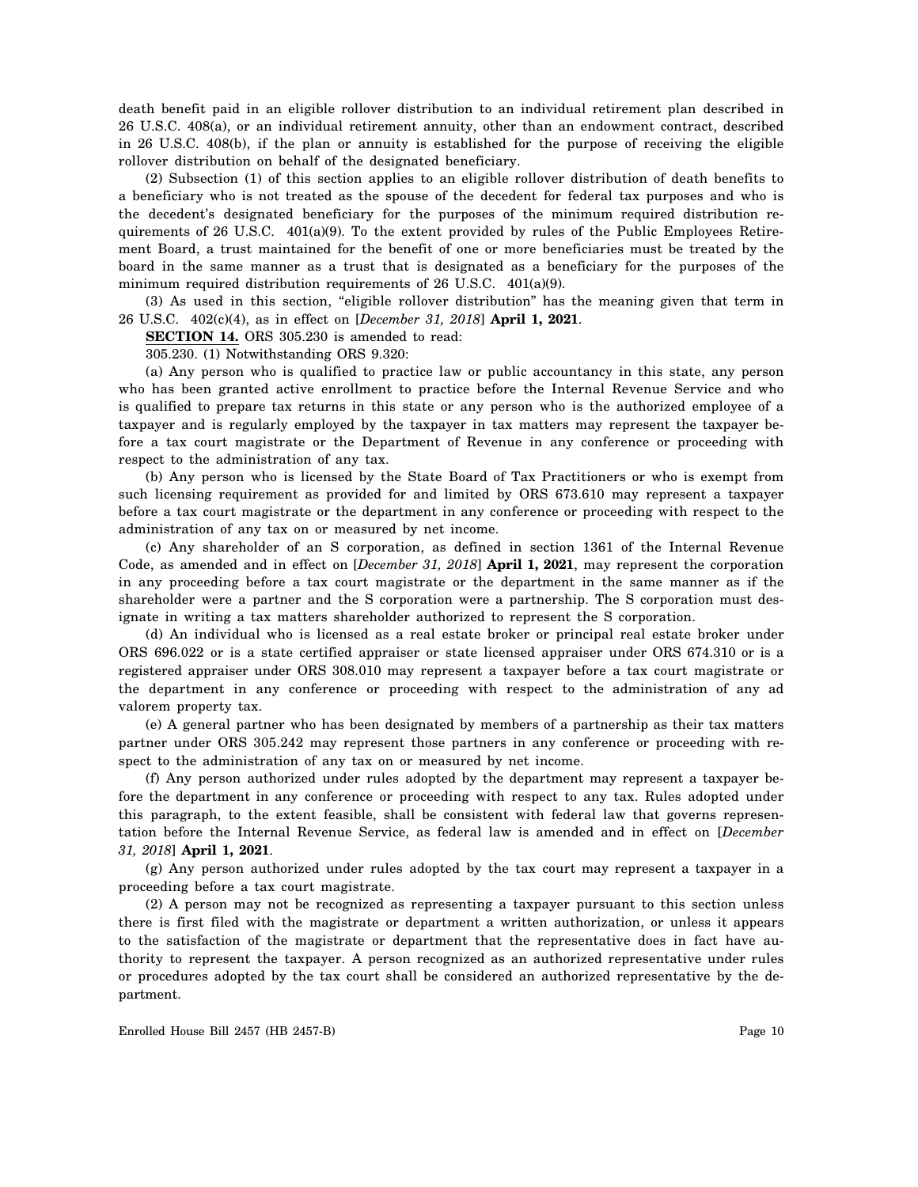death benefit paid in an eligible rollover distribution to an individual retirement plan described in 26 U.S.C. 408(a), or an individual retirement annuity, other than an endowment contract, described in 26 U.S.C. 408(b), if the plan or annuity is established for the purpose of receiving the eligible rollover distribution on behalf of the designated beneficiary.

(2) Subsection (1) of this section applies to an eligible rollover distribution of death benefits to a beneficiary who is not treated as the spouse of the decedent for federal tax purposes and who is the decedent's designated beneficiary for the purposes of the minimum required distribution requirements of 26 U.S.C. 401(a)(9). To the extent provided by rules of the Public Employees Retirement Board, a trust maintained for the benefit of one or more beneficiaries must be treated by the board in the same manner as a trust that is designated as a beneficiary for the purposes of the minimum required distribution requirements of 26 U.S.C. 401(a)(9).

(3) As used in this section, "eligible rollover distribution" has the meaning given that term in 26 U.S.C. 402(c)(4), as in effect on [*December 31, 2018*] **April 1, 2021**.

**SECTION 14.** ORS 305.230 is amended to read:

305.230. (1) Notwithstanding ORS 9.320:

(a) Any person who is qualified to practice law or public accountancy in this state, any person who has been granted active enrollment to practice before the Internal Revenue Service and who is qualified to prepare tax returns in this state or any person who is the authorized employee of a taxpayer and is regularly employed by the taxpayer in tax matters may represent the taxpayer before a tax court magistrate or the Department of Revenue in any conference or proceeding with respect to the administration of any tax.

(b) Any person who is licensed by the State Board of Tax Practitioners or who is exempt from such licensing requirement as provided for and limited by ORS 673.610 may represent a taxpayer before a tax court magistrate or the department in any conference or proceeding with respect to the administration of any tax on or measured by net income.

(c) Any shareholder of an S corporation, as defined in section 1361 of the Internal Revenue Code, as amended and in effect on [*December 31, 2018*] **April 1, 2021**, may represent the corporation in any proceeding before a tax court magistrate or the department in the same manner as if the shareholder were a partner and the S corporation were a partnership. The S corporation must designate in writing a tax matters shareholder authorized to represent the S corporation.

(d) An individual who is licensed as a real estate broker or principal real estate broker under ORS 696.022 or is a state certified appraiser or state licensed appraiser under ORS 674.310 or is a registered appraiser under ORS 308.010 may represent a taxpayer before a tax court magistrate or the department in any conference or proceeding with respect to the administration of any ad valorem property tax.

(e) A general partner who has been designated by members of a partnership as their tax matters partner under ORS 305.242 may represent those partners in any conference or proceeding with respect to the administration of any tax on or measured by net income.

(f) Any person authorized under rules adopted by the department may represent a taxpayer before the department in any conference or proceeding with respect to any tax. Rules adopted under this paragraph, to the extent feasible, shall be consistent with federal law that governs representation before the Internal Revenue Service, as federal law is amended and in effect on [*December 31, 2018*] **April 1, 2021**.

(g) Any person authorized under rules adopted by the tax court may represent a taxpayer in a proceeding before a tax court magistrate.

(2) A person may not be recognized as representing a taxpayer pursuant to this section unless there is first filed with the magistrate or department a written authorization, or unless it appears to the satisfaction of the magistrate or department that the representative does in fact have authority to represent the taxpayer. A person recognized as an authorized representative under rules or procedures adopted by the tax court shall be considered an authorized representative by the department.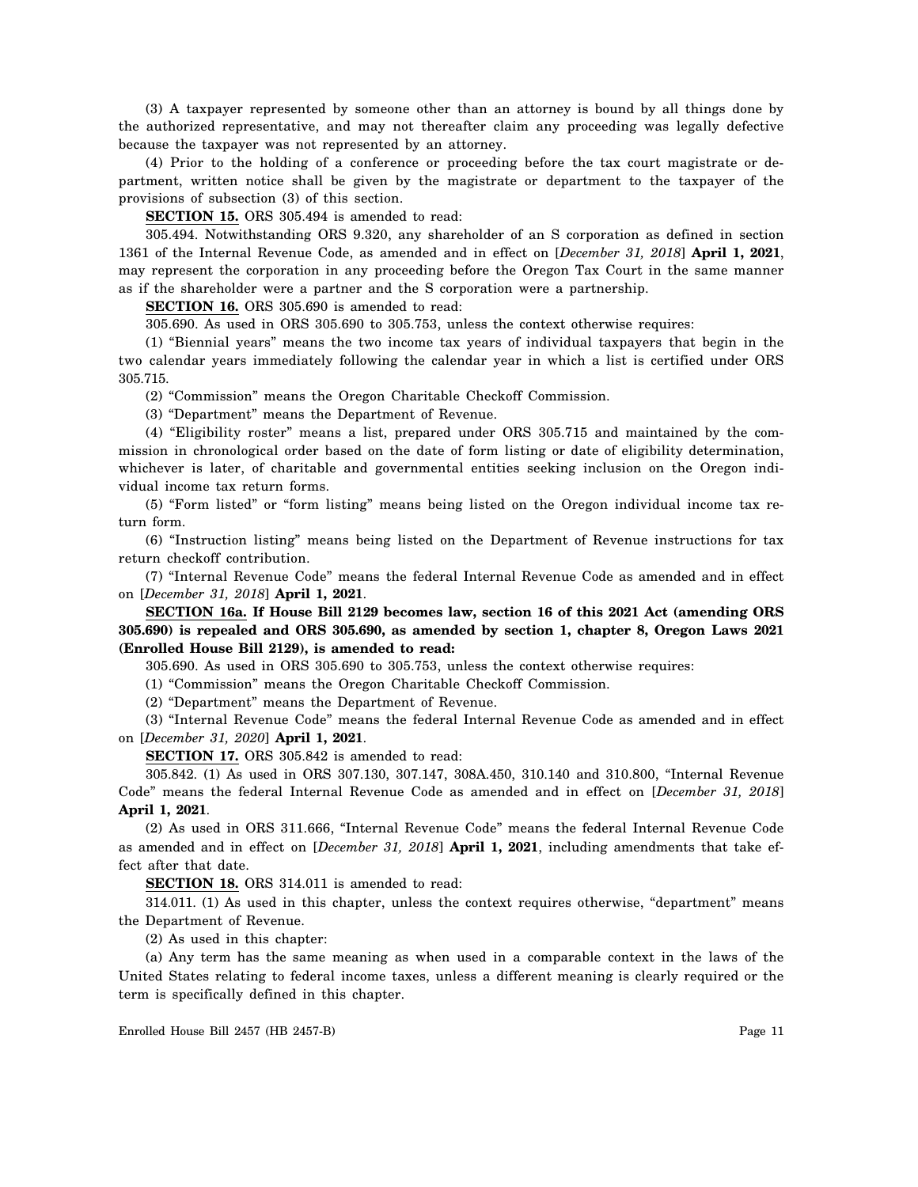(3) A taxpayer represented by someone other than an attorney is bound by all things done by the authorized representative, and may not thereafter claim any proceeding was legally defective because the taxpayer was not represented by an attorney.

(4) Prior to the holding of a conference or proceeding before the tax court magistrate or department, written notice shall be given by the magistrate or department to the taxpayer of the provisions of subsection (3) of this section.

**SECTION 15.** ORS 305.494 is amended to read:

305.494. Notwithstanding ORS 9.320, any shareholder of an S corporation as defined in section 1361 of the Internal Revenue Code, as amended and in effect on [*December 31, 2018*] **April 1, 2021**, may represent the corporation in any proceeding before the Oregon Tax Court in the same manner as if the shareholder were a partner and the S corporation were a partnership.

**SECTION 16.** ORS 305.690 is amended to read:

305.690. As used in ORS 305.690 to 305.753, unless the context otherwise requires:

(1) "Biennial years" means the two income tax years of individual taxpayers that begin in the two calendar years immediately following the calendar year in which a list is certified under ORS 305.715.

(2) "Commission" means the Oregon Charitable Checkoff Commission.

(3) "Department" means the Department of Revenue.

(4) "Eligibility roster" means a list, prepared under ORS 305.715 and maintained by the commission in chronological order based on the date of form listing or date of eligibility determination, whichever is later, of charitable and governmental entities seeking inclusion on the Oregon individual income tax return forms.

(5) "Form listed" or "form listing" means being listed on the Oregon individual income tax return form.

(6) "Instruction listing" means being listed on the Department of Revenue instructions for tax return checkoff contribution.

(7) "Internal Revenue Code" means the federal Internal Revenue Code as amended and in effect on [*December 31, 2018*] **April 1, 2021**.

**SECTION 16a. If House Bill 2129 becomes law, section 16 of this 2021 Act (amending ORS 305.690) is repealed and ORS 305.690, as amended by section 1, chapter 8, Oregon Laws 2021 (Enrolled House Bill 2129), is amended to read:**

305.690. As used in ORS 305.690 to 305.753, unless the context otherwise requires:

(1) "Commission" means the Oregon Charitable Checkoff Commission.

(2) "Department" means the Department of Revenue.

(3) "Internal Revenue Code" means the federal Internal Revenue Code as amended and in effect on [*December 31, 2020*] **April 1, 2021**.

**SECTION 17.** ORS 305.842 is amended to read:

305.842. (1) As used in ORS 307.130, 307.147, 308A.450, 310.140 and 310.800, "Internal Revenue Code" means the federal Internal Revenue Code as amended and in effect on [*December 31, 2018*] **April 1, 2021**.

(2) As used in ORS 311.666, "Internal Revenue Code" means the federal Internal Revenue Code as amended and in effect on [*December 31, 2018*] **April 1, 2021**, including amendments that take effect after that date.

**SECTION 18.** ORS 314.011 is amended to read:

314.011. (1) As used in this chapter, unless the context requires otherwise, "department" means the Department of Revenue.

(2) As used in this chapter:

(a) Any term has the same meaning as when used in a comparable context in the laws of the United States relating to federal income taxes, unless a different meaning is clearly required or the term is specifically defined in this chapter.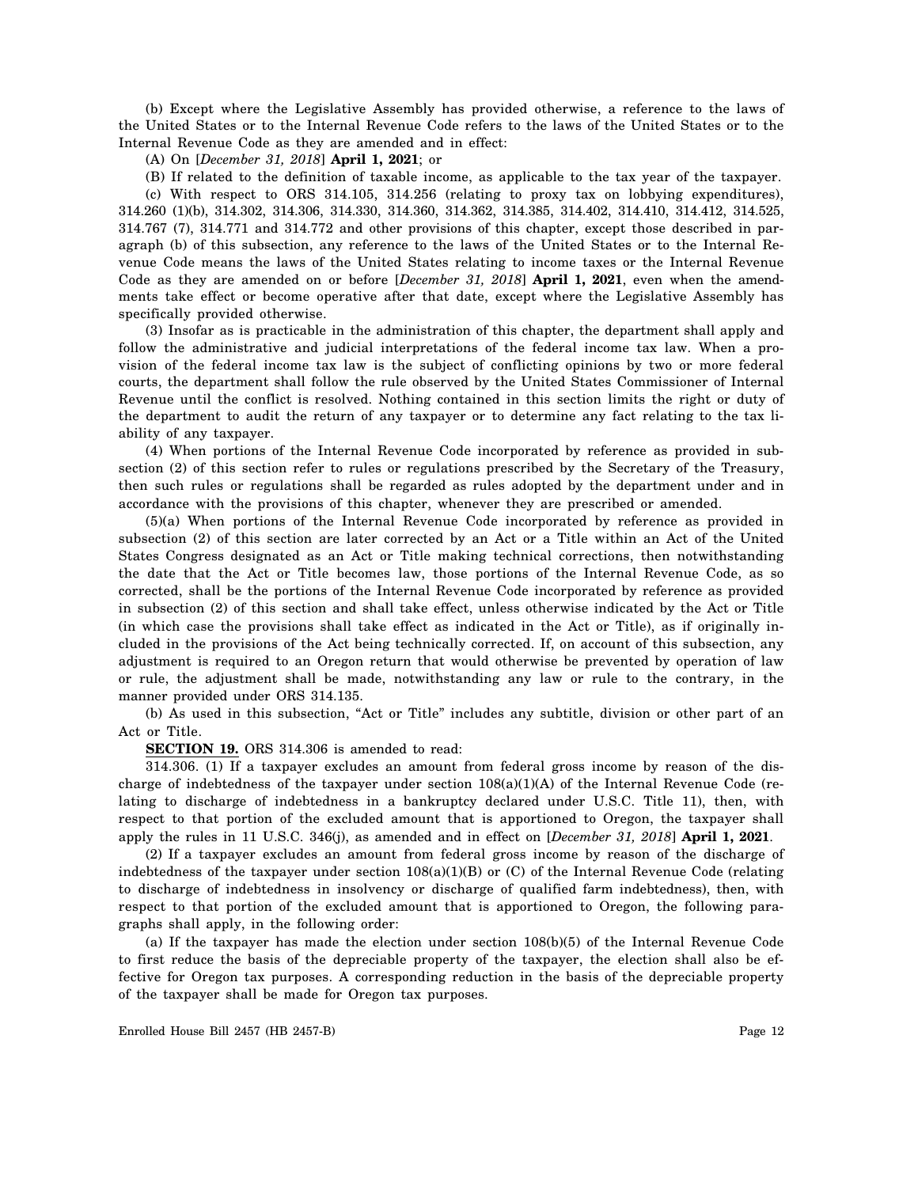(b) Except where the Legislative Assembly has provided otherwise, a reference to the laws of the United States or to the Internal Revenue Code refers to the laws of the United States or to the Internal Revenue Code as they are amended and in effect:

(A) On [*December 31, 2018*] **April 1, 2021**; or

(B) If related to the definition of taxable income, as applicable to the tax year of the taxpayer. (c) With respect to ORS 314.105, 314.256 (relating to proxy tax on lobbying expenditures), 314.260 (1)(b), 314.302, 314.306, 314.330, 314.360, 314.362, 314.385, 314.402, 314.410, 314.412, 314.525, 314.767 (7), 314.771 and 314.772 and other provisions of this chapter, except those described in paragraph (b) of this subsection, any reference to the laws of the United States or to the Internal Revenue Code means the laws of the United States relating to income taxes or the Internal Revenue Code as they are amended on or before [*December 31, 2018*] **April 1, 2021**, even when the amendments take effect or become operative after that date, except where the Legislative Assembly has specifically provided otherwise.

(3) Insofar as is practicable in the administration of this chapter, the department shall apply and follow the administrative and judicial interpretations of the federal income tax law. When a provision of the federal income tax law is the subject of conflicting opinions by two or more federal courts, the department shall follow the rule observed by the United States Commissioner of Internal Revenue until the conflict is resolved. Nothing contained in this section limits the right or duty of the department to audit the return of any taxpayer or to determine any fact relating to the tax liability of any taxpayer.

(4) When portions of the Internal Revenue Code incorporated by reference as provided in subsection (2) of this section refer to rules or regulations prescribed by the Secretary of the Treasury, then such rules or regulations shall be regarded as rules adopted by the department under and in accordance with the provisions of this chapter, whenever they are prescribed or amended.

(5)(a) When portions of the Internal Revenue Code incorporated by reference as provided in subsection (2) of this section are later corrected by an Act or a Title within an Act of the United States Congress designated as an Act or Title making technical corrections, then notwithstanding the date that the Act or Title becomes law, those portions of the Internal Revenue Code, as so corrected, shall be the portions of the Internal Revenue Code incorporated by reference as provided in subsection (2) of this section and shall take effect, unless otherwise indicated by the Act or Title (in which case the provisions shall take effect as indicated in the Act or Title), as if originally included in the provisions of the Act being technically corrected. If, on account of this subsection, any adjustment is required to an Oregon return that would otherwise be prevented by operation of law or rule, the adjustment shall be made, notwithstanding any law or rule to the contrary, in the manner provided under ORS 314.135.

(b) As used in this subsection, "Act or Title" includes any subtitle, division or other part of an Act or Title.

**SECTION 19.** ORS 314.306 is amended to read:

314.306. (1) If a taxpayer excludes an amount from federal gross income by reason of the discharge of indebtedness of the taxpayer under section  $108(a)(1)(A)$  of the Internal Revenue Code (relating to discharge of indebtedness in a bankruptcy declared under U.S.C. Title 11), then, with respect to that portion of the excluded amount that is apportioned to Oregon, the taxpayer shall apply the rules in 11 U.S.C. 346(j), as amended and in effect on [*December 31, 2018*] **April 1, 2021**.

(2) If a taxpayer excludes an amount from federal gross income by reason of the discharge of indebtedness of the taxpayer under section 108(a)(1)(B) or (C) of the Internal Revenue Code (relating to discharge of indebtedness in insolvency or discharge of qualified farm indebtedness), then, with respect to that portion of the excluded amount that is apportioned to Oregon, the following paragraphs shall apply, in the following order:

(a) If the taxpayer has made the election under section 108(b)(5) of the Internal Revenue Code to first reduce the basis of the depreciable property of the taxpayer, the election shall also be effective for Oregon tax purposes. A corresponding reduction in the basis of the depreciable property of the taxpayer shall be made for Oregon tax purposes.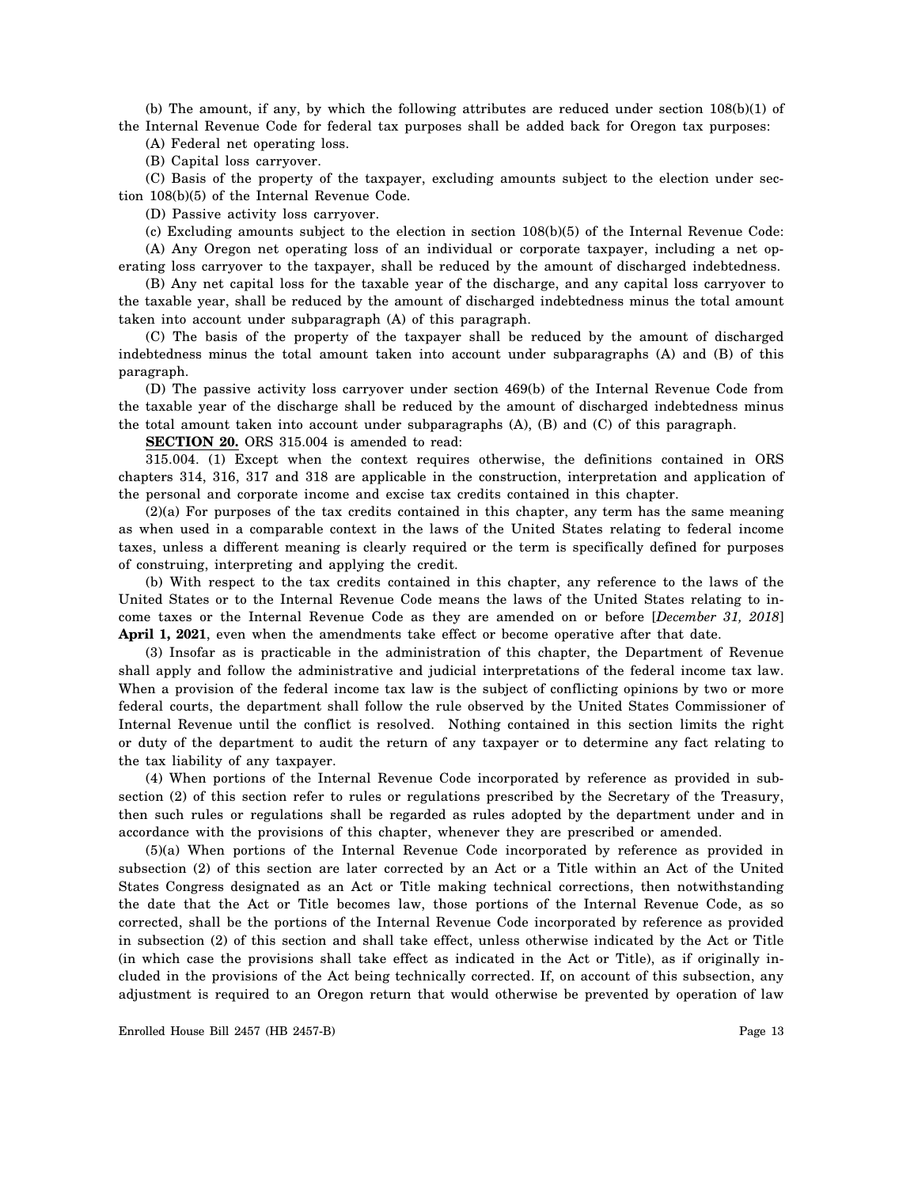(b) The amount, if any, by which the following attributes are reduced under section 108(b)(1) of the Internal Revenue Code for federal tax purposes shall be added back for Oregon tax purposes:

(A) Federal net operating loss.

(B) Capital loss carryover.

(C) Basis of the property of the taxpayer, excluding amounts subject to the election under section 108(b)(5) of the Internal Revenue Code.

(D) Passive activity loss carryover.

(c) Excluding amounts subject to the election in section 108(b)(5) of the Internal Revenue Code:

(A) Any Oregon net operating loss of an individual or corporate taxpayer, including a net operating loss carryover to the taxpayer, shall be reduced by the amount of discharged indebtedness.

(B) Any net capital loss for the taxable year of the discharge, and any capital loss carryover to the taxable year, shall be reduced by the amount of discharged indebtedness minus the total amount taken into account under subparagraph (A) of this paragraph.

(C) The basis of the property of the taxpayer shall be reduced by the amount of discharged indebtedness minus the total amount taken into account under subparagraphs (A) and (B) of this paragraph.

(D) The passive activity loss carryover under section 469(b) of the Internal Revenue Code from the taxable year of the discharge shall be reduced by the amount of discharged indebtedness minus the total amount taken into account under subparagraphs (A), (B) and (C) of this paragraph.

**SECTION 20.** ORS 315.004 is amended to read:

315.004. (1) Except when the context requires otherwise, the definitions contained in ORS chapters 314, 316, 317 and 318 are applicable in the construction, interpretation and application of the personal and corporate income and excise tax credits contained in this chapter.

(2)(a) For purposes of the tax credits contained in this chapter, any term has the same meaning as when used in a comparable context in the laws of the United States relating to federal income taxes, unless a different meaning is clearly required or the term is specifically defined for purposes of construing, interpreting and applying the credit.

(b) With respect to the tax credits contained in this chapter, any reference to the laws of the United States or to the Internal Revenue Code means the laws of the United States relating to income taxes or the Internal Revenue Code as they are amended on or before [*December 31, 2018*] **April 1, 2021**, even when the amendments take effect or become operative after that date.

(3) Insofar as is practicable in the administration of this chapter, the Department of Revenue shall apply and follow the administrative and judicial interpretations of the federal income tax law. When a provision of the federal income tax law is the subject of conflicting opinions by two or more federal courts, the department shall follow the rule observed by the United States Commissioner of Internal Revenue until the conflict is resolved. Nothing contained in this section limits the right or duty of the department to audit the return of any taxpayer or to determine any fact relating to the tax liability of any taxpayer.

(4) When portions of the Internal Revenue Code incorporated by reference as provided in subsection (2) of this section refer to rules or regulations prescribed by the Secretary of the Treasury, then such rules or regulations shall be regarded as rules adopted by the department under and in accordance with the provisions of this chapter, whenever they are prescribed or amended.

(5)(a) When portions of the Internal Revenue Code incorporated by reference as provided in subsection (2) of this section are later corrected by an Act or a Title within an Act of the United States Congress designated as an Act or Title making technical corrections, then notwithstanding the date that the Act or Title becomes law, those portions of the Internal Revenue Code, as so corrected, shall be the portions of the Internal Revenue Code incorporated by reference as provided in subsection (2) of this section and shall take effect, unless otherwise indicated by the Act or Title (in which case the provisions shall take effect as indicated in the Act or Title), as if originally included in the provisions of the Act being technically corrected. If, on account of this subsection, any adjustment is required to an Oregon return that would otherwise be prevented by operation of law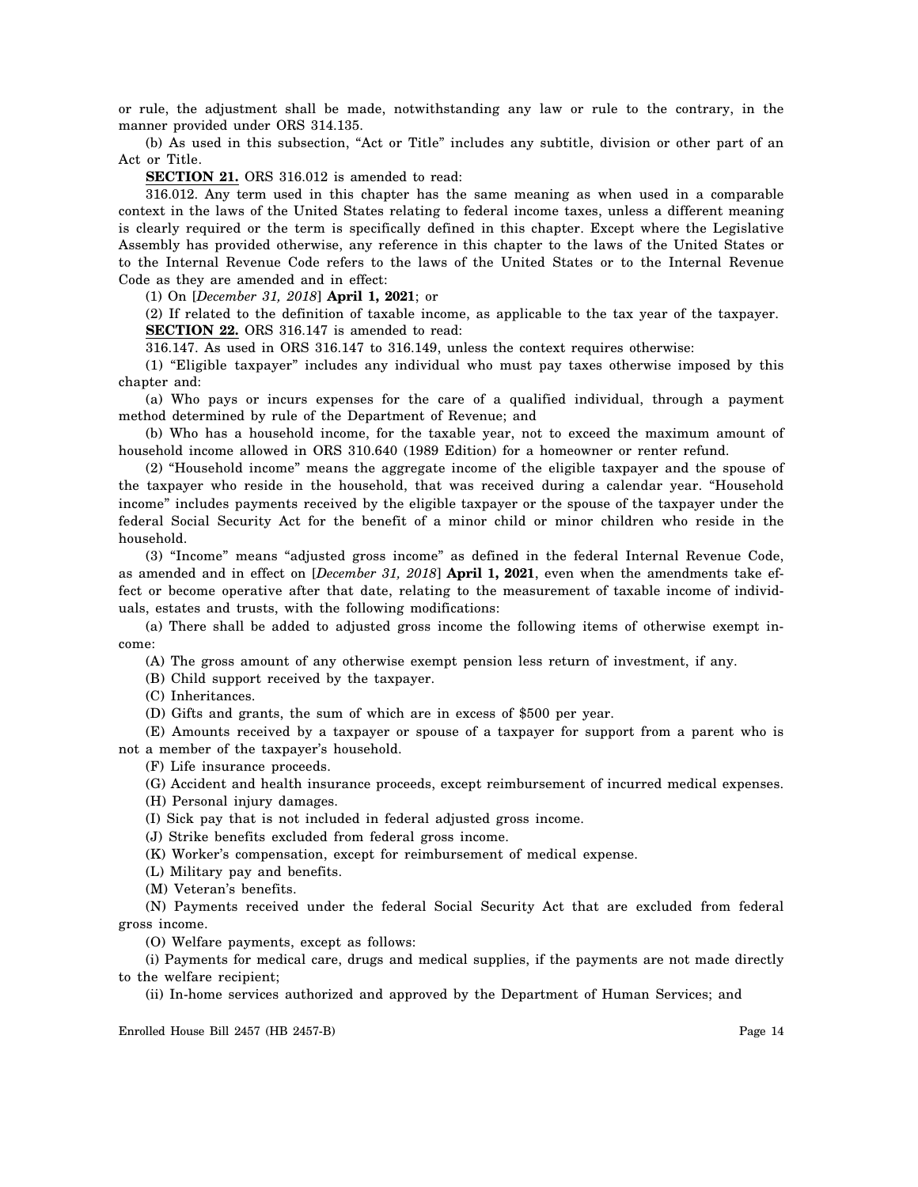or rule, the adjustment shall be made, notwithstanding any law or rule to the contrary, in the manner provided under ORS 314.135.

(b) As used in this subsection, "Act or Title" includes any subtitle, division or other part of an Act or Title.

**SECTION 21.** ORS 316.012 is amended to read:

316.012. Any term used in this chapter has the same meaning as when used in a comparable context in the laws of the United States relating to federal income taxes, unless a different meaning is clearly required or the term is specifically defined in this chapter. Except where the Legislative Assembly has provided otherwise, any reference in this chapter to the laws of the United States or to the Internal Revenue Code refers to the laws of the United States or to the Internal Revenue Code as they are amended and in effect:

(1) On [*December 31, 2018*] **April 1, 2021**; or

(2) If related to the definition of taxable income, as applicable to the tax year of the taxpayer. **SECTION 22.** ORS 316.147 is amended to read:

316.147. As used in ORS 316.147 to 316.149, unless the context requires otherwise:

(1) "Eligible taxpayer" includes any individual who must pay taxes otherwise imposed by this chapter and:

(a) Who pays or incurs expenses for the care of a qualified individual, through a payment method determined by rule of the Department of Revenue; and

(b) Who has a household income, for the taxable year, not to exceed the maximum amount of household income allowed in ORS 310.640 (1989 Edition) for a homeowner or renter refund.

(2) "Household income" means the aggregate income of the eligible taxpayer and the spouse of the taxpayer who reside in the household, that was received during a calendar year. "Household income" includes payments received by the eligible taxpayer or the spouse of the taxpayer under the federal Social Security Act for the benefit of a minor child or minor children who reside in the household.

(3) "Income" means "adjusted gross income" as defined in the federal Internal Revenue Code, as amended and in effect on [*December 31, 2018*] **April 1, 2021**, even when the amendments take effect or become operative after that date, relating to the measurement of taxable income of individuals, estates and trusts, with the following modifications:

(a) There shall be added to adjusted gross income the following items of otherwise exempt income:

(A) The gross amount of any otherwise exempt pension less return of investment, if any.

(B) Child support received by the taxpayer.

(C) Inheritances.

(D) Gifts and grants, the sum of which are in excess of \$500 per year.

(E) Amounts received by a taxpayer or spouse of a taxpayer for support from a parent who is not a member of the taxpayer's household.

(F) Life insurance proceeds.

(G) Accident and health insurance proceeds, except reimbursement of incurred medical expenses.

(H) Personal injury damages.

(I) Sick pay that is not included in federal adjusted gross income.

(J) Strike benefits excluded from federal gross income.

(K) Worker's compensation, except for reimbursement of medical expense.

(L) Military pay and benefits.

(M) Veteran's benefits.

(N) Payments received under the federal Social Security Act that are excluded from federal gross income.

(O) Welfare payments, except as follows:

(i) Payments for medical care, drugs and medical supplies, if the payments are not made directly to the welfare recipient;

(ii) In-home services authorized and approved by the Department of Human Services; and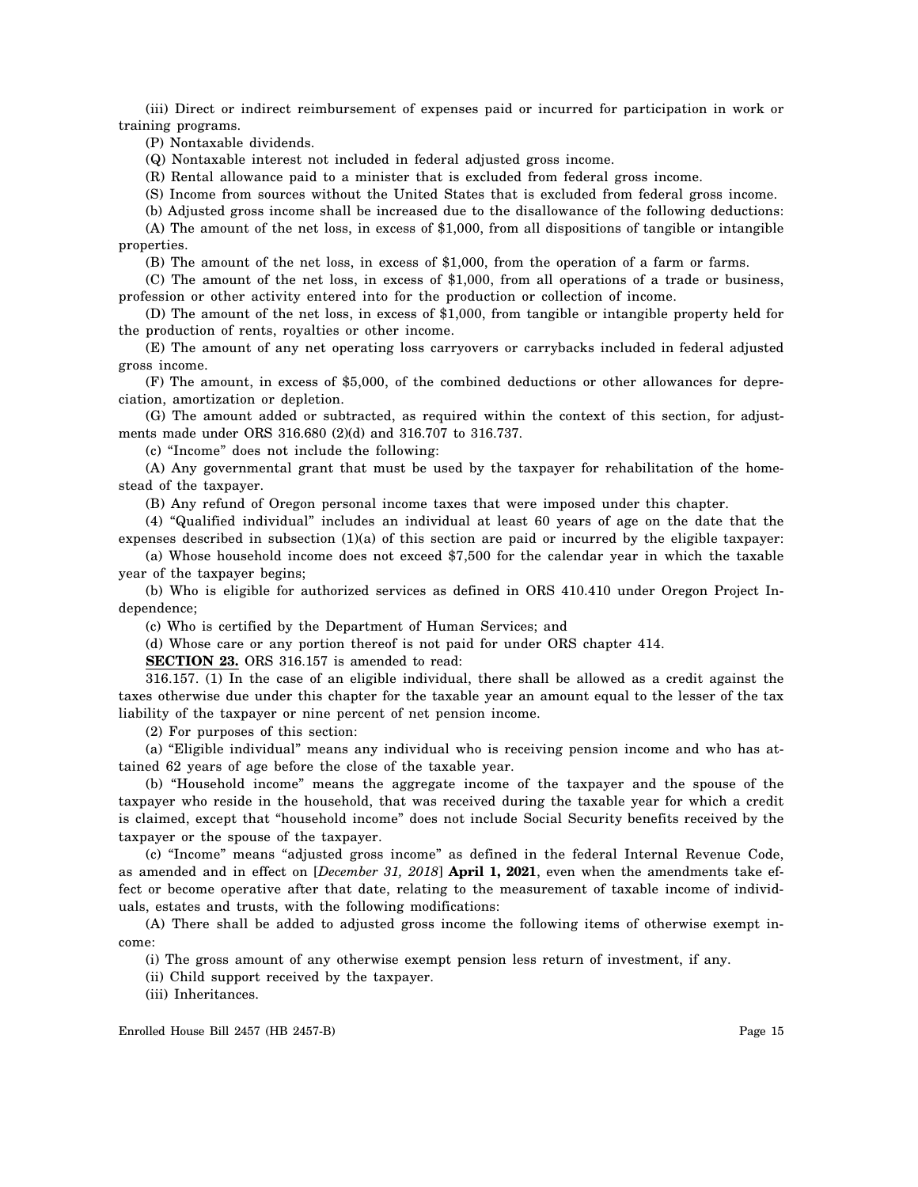(iii) Direct or indirect reimbursement of expenses paid or incurred for participation in work or training programs.

(P) Nontaxable dividends.

(Q) Nontaxable interest not included in federal adjusted gross income.

(R) Rental allowance paid to a minister that is excluded from federal gross income.

(S) Income from sources without the United States that is excluded from federal gross income.

(b) Adjusted gross income shall be increased due to the disallowance of the following deductions:

(A) The amount of the net loss, in excess of \$1,000, from all dispositions of tangible or intangible properties.

(B) The amount of the net loss, in excess of \$1,000, from the operation of a farm or farms.

(C) The amount of the net loss, in excess of \$1,000, from all operations of a trade or business, profession or other activity entered into for the production or collection of income.

(D) The amount of the net loss, in excess of \$1,000, from tangible or intangible property held for the production of rents, royalties or other income.

(E) The amount of any net operating loss carryovers or carrybacks included in federal adjusted gross income.

(F) The amount, in excess of \$5,000, of the combined deductions or other allowances for depreciation, amortization or depletion.

(G) The amount added or subtracted, as required within the context of this section, for adjustments made under ORS 316.680 (2)(d) and 316.707 to 316.737.

(c) "Income" does not include the following:

(A) Any governmental grant that must be used by the taxpayer for rehabilitation of the homestead of the taxpayer.

(B) Any refund of Oregon personal income taxes that were imposed under this chapter.

(4) "Qualified individual" includes an individual at least 60 years of age on the date that the expenses described in subsection  $(1)(a)$  of this section are paid or incurred by the eligible taxpayer:

(a) Whose household income does not exceed \$7,500 for the calendar year in which the taxable year of the taxpayer begins;

(b) Who is eligible for authorized services as defined in ORS 410.410 under Oregon Project Independence;

(c) Who is certified by the Department of Human Services; and

(d) Whose care or any portion thereof is not paid for under ORS chapter 414.

**SECTION 23.** ORS 316.157 is amended to read:

316.157. (1) In the case of an eligible individual, there shall be allowed as a credit against the taxes otherwise due under this chapter for the taxable year an amount equal to the lesser of the tax liability of the taxpayer or nine percent of net pension income.

(2) For purposes of this section:

(a) "Eligible individual" means any individual who is receiving pension income and who has attained 62 years of age before the close of the taxable year.

(b) "Household income" means the aggregate income of the taxpayer and the spouse of the taxpayer who reside in the household, that was received during the taxable year for which a credit is claimed, except that "household income" does not include Social Security benefits received by the taxpayer or the spouse of the taxpayer.

(c) "Income" means "adjusted gross income" as defined in the federal Internal Revenue Code, as amended and in effect on [*December 31, 2018*] **April 1, 2021**, even when the amendments take effect or become operative after that date, relating to the measurement of taxable income of individuals, estates and trusts, with the following modifications:

(A) There shall be added to adjusted gross income the following items of otherwise exempt income:

(i) The gross amount of any otherwise exempt pension less return of investment, if any.

(ii) Child support received by the taxpayer.

(iii) Inheritances.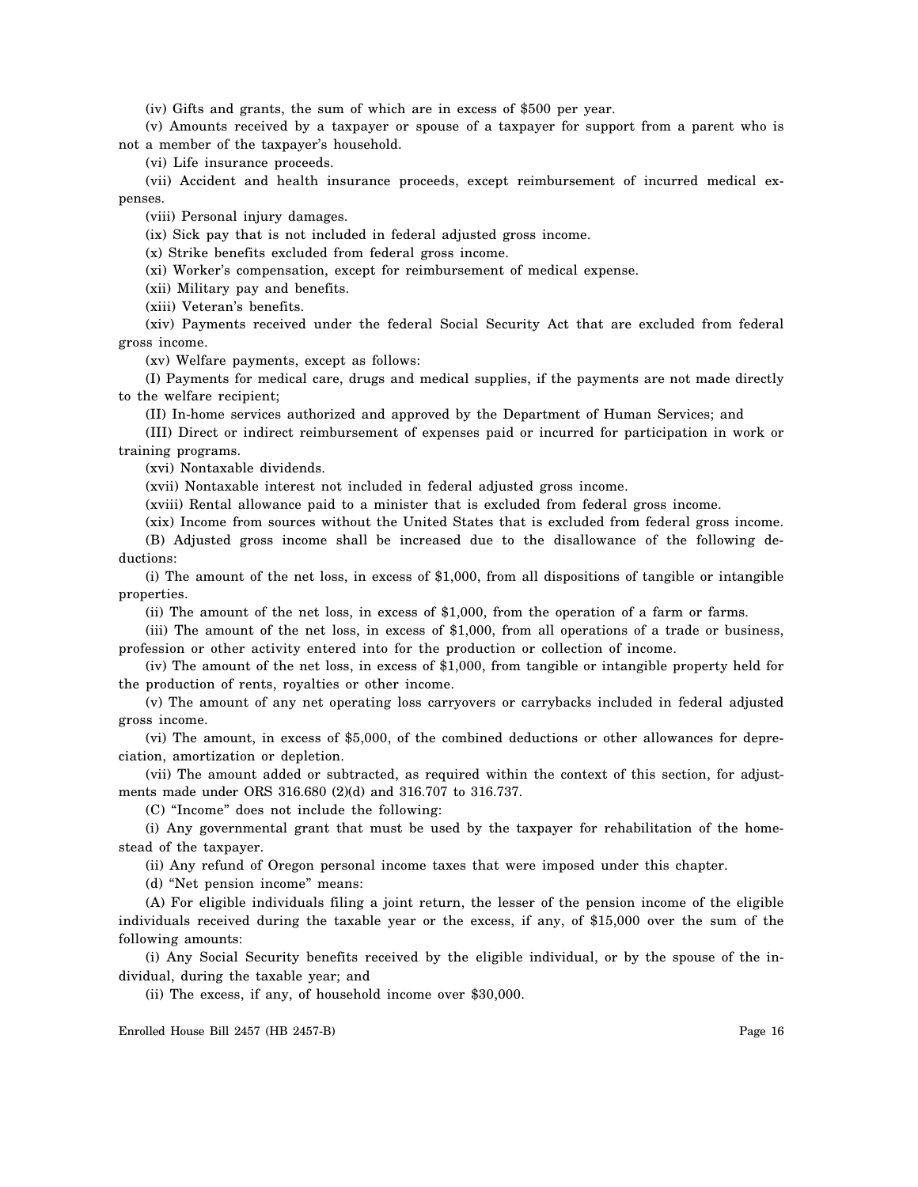(iv) Gifts and grants, the sum of which are in excess of \$500 per year.

(v) Amounts received by a taxpayer or spouse of a taxpayer for support from a parent who is not a member of the taxpayer's household.

(vi) Life insurance proceeds.

(vii) Accident and health insurance proceeds, except reimbursement of incurred medical expenses.

(viii) Personal injury damages.

(ix) Sick pay that is not included in federal adjusted gross income.

(x) Strike benefits excluded from federal gross income.

(xi) Worker's compensation, except for reimbursement of medical expense.

(xii) Military pay and benefits.

(xiii) Veteran's benefits.

(xiv) Payments received under the federal Social Security Act that are excluded from federal gross income.

(xv) Welfare payments, except as follows:

(I) Payments for medical care, drugs and medical supplies, if the payments are not made directly to the welfare recipient;

(II) In-home services authorized and approved by the Department of Human Services; and

(III) Direct or indirect reimbursement of expenses paid or incurred for participation in work or training programs.

(xvi) Nontaxable dividends.

(xvii) Nontaxable interest not included in federal adjusted gross income.

(xviii) Rental allowance paid to a minister that is excluded from federal gross income.

(xix) Income from sources without the United States that is excluded from federal gross income.

(B) Adjusted gross income shall be increased due to the disallowance of the following deductions:

(i) The amount of the net loss, in excess of \$1,000, from all dispositions of tangible or intangible properties.

(ii) The amount of the net loss, in excess of \$1,000, from the operation of a farm or farms.

(iii) The amount of the net loss, in excess of \$1,000, from all operations of a trade or business, profession or other activity entered into for the production or collection of income.

(iv) The amount of the net loss, in excess of \$1,000, from tangible or intangible property held for the production of rents, royalties or other income.

(v) The amount of any net operating loss carryovers or carrybacks included in federal adjusted gross income.

(vi) The amount, in excess of \$5,000, of the combined deductions or other allowances for depreciation, amortization or depletion.

(vii) The amount added or subtracted, as required within the context of this section, for adjustments made under ORS 316.680 (2)(d) and 316.707 to 316.737.

(C) "Income" does not include the following:

(i) Any governmental grant that must be used by the taxpayer for rehabilitation of the homestead of the taxpayer.

(ii) Any refund of Oregon personal income taxes that were imposed under this chapter.

(d) "Net pension income" means:

(A) For eligible individuals filing a joint return, the lesser of the pension income of the eligible individuals received during the taxable year or the excess, if any, of \$15,000 over the sum of the following amounts:

(i) Any Social Security benefits received by the eligible individual, or by the spouse of the individual, during the taxable year; and

(ii) The excess, if any, of household income over \$30,000.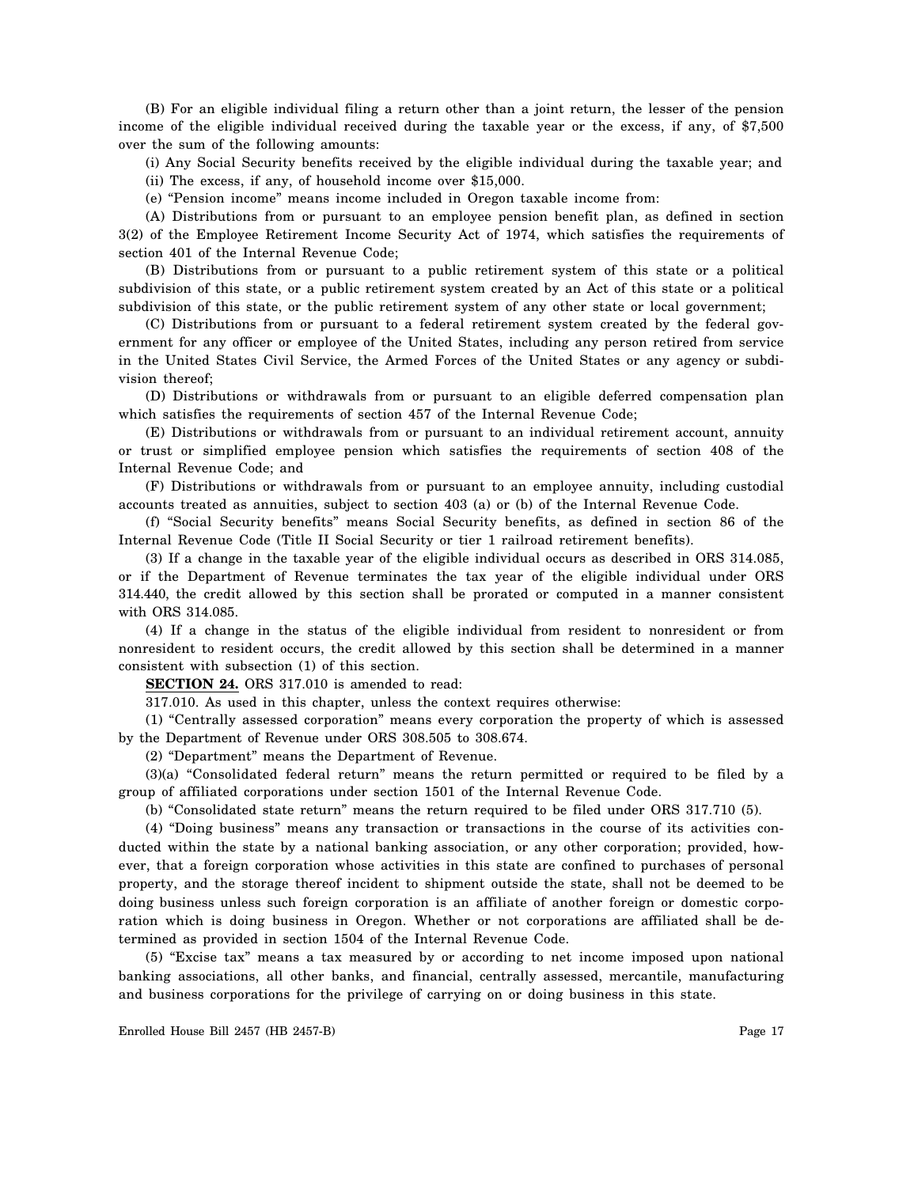(B) For an eligible individual filing a return other than a joint return, the lesser of the pension income of the eligible individual received during the taxable year or the excess, if any, of \$7,500 over the sum of the following amounts:

(i) Any Social Security benefits received by the eligible individual during the taxable year; and

(ii) The excess, if any, of household income over \$15,000.

(e) "Pension income" means income included in Oregon taxable income from:

(A) Distributions from or pursuant to an employee pension benefit plan, as defined in section 3(2) of the Employee Retirement Income Security Act of 1974, which satisfies the requirements of section 401 of the Internal Revenue Code;

(B) Distributions from or pursuant to a public retirement system of this state or a political subdivision of this state, or a public retirement system created by an Act of this state or a political subdivision of this state, or the public retirement system of any other state or local government;

(C) Distributions from or pursuant to a federal retirement system created by the federal government for any officer or employee of the United States, including any person retired from service in the United States Civil Service, the Armed Forces of the United States or any agency or subdivision thereof;

(D) Distributions or withdrawals from or pursuant to an eligible deferred compensation plan which satisfies the requirements of section 457 of the Internal Revenue Code;

(E) Distributions or withdrawals from or pursuant to an individual retirement account, annuity or trust or simplified employee pension which satisfies the requirements of section 408 of the Internal Revenue Code; and

(F) Distributions or withdrawals from or pursuant to an employee annuity, including custodial accounts treated as annuities, subject to section 403 (a) or (b) of the Internal Revenue Code.

(f) "Social Security benefits" means Social Security benefits, as defined in section 86 of the Internal Revenue Code (Title II Social Security or tier 1 railroad retirement benefits).

(3) If a change in the taxable year of the eligible individual occurs as described in ORS 314.085, or if the Department of Revenue terminates the tax year of the eligible individual under ORS 314.440, the credit allowed by this section shall be prorated or computed in a manner consistent with ORS 314.085.

(4) If a change in the status of the eligible individual from resident to nonresident or from nonresident to resident occurs, the credit allowed by this section shall be determined in a manner consistent with subsection (1) of this section.

**SECTION 24.** ORS 317.010 is amended to read:

317.010. As used in this chapter, unless the context requires otherwise:

(1) "Centrally assessed corporation" means every corporation the property of which is assessed by the Department of Revenue under ORS 308.505 to 308.674.

(2) "Department" means the Department of Revenue.

(3)(a) "Consolidated federal return" means the return permitted or required to be filed by a group of affiliated corporations under section 1501 of the Internal Revenue Code.

(b) "Consolidated state return" means the return required to be filed under ORS 317.710 (5).

(4) "Doing business" means any transaction or transactions in the course of its activities conducted within the state by a national banking association, or any other corporation; provided, however, that a foreign corporation whose activities in this state are confined to purchases of personal property, and the storage thereof incident to shipment outside the state, shall not be deemed to be doing business unless such foreign corporation is an affiliate of another foreign or domestic corporation which is doing business in Oregon. Whether or not corporations are affiliated shall be determined as provided in section 1504 of the Internal Revenue Code.

(5) "Excise tax" means a tax measured by or according to net income imposed upon national banking associations, all other banks, and financial, centrally assessed, mercantile, manufacturing and business corporations for the privilege of carrying on or doing business in this state.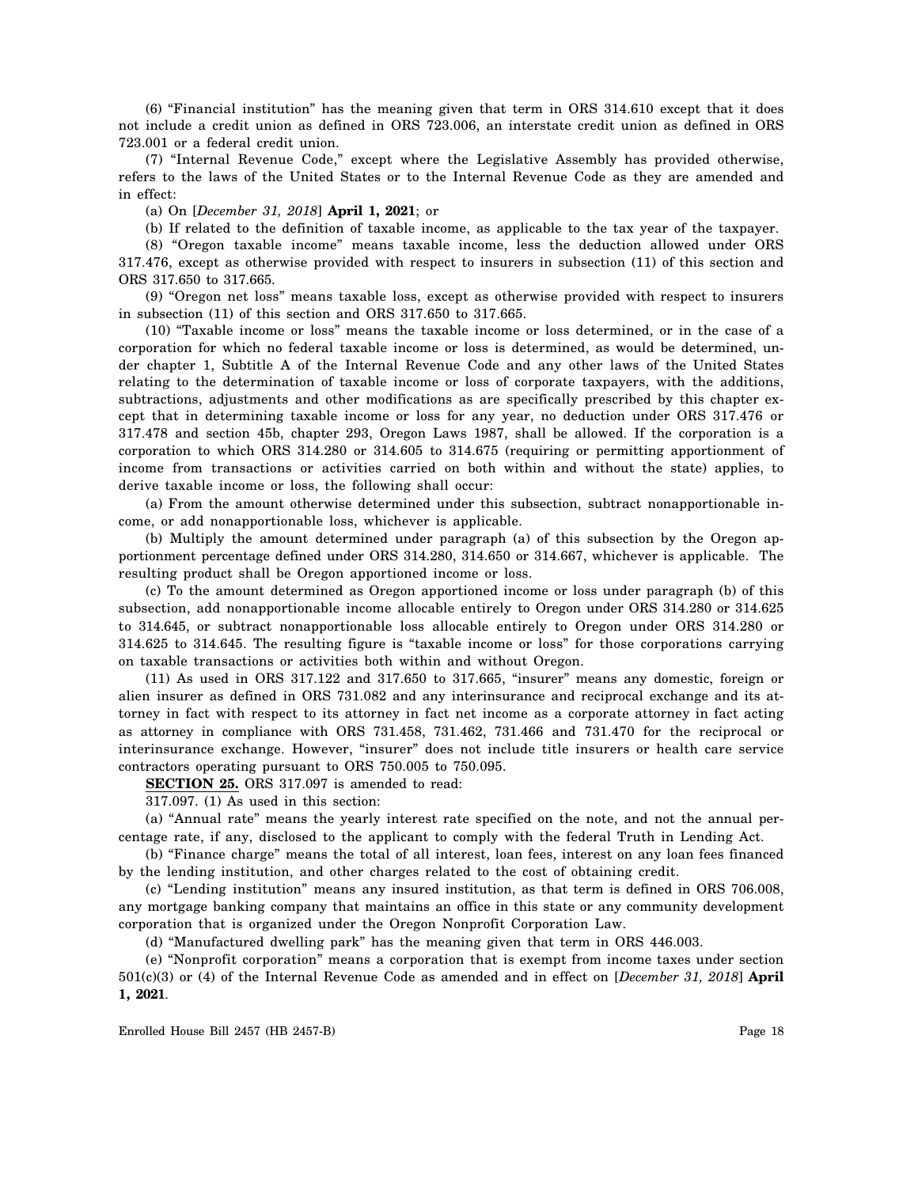(6) "Financial institution" has the meaning given that term in ORS 314.610 except that it does not include a credit union as defined in ORS 723.006, an interstate credit union as defined in ORS 723.001 or a federal credit union.

(7) "Internal Revenue Code," except where the Legislative Assembly has provided otherwise, refers to the laws of the United States or to the Internal Revenue Code as they are amended and in effect:

(a) On [*December 31, 2018*] **April 1, 2021**; or

(b) If related to the definition of taxable income, as applicable to the tax year of the taxpayer.

(8) "Oregon taxable income" means taxable income, less the deduction allowed under ORS 317.476, except as otherwise provided with respect to insurers in subsection (11) of this section and ORS 317.650 to 317.665.

(9) "Oregon net loss" means taxable loss, except as otherwise provided with respect to insurers in subsection (11) of this section and ORS 317.650 to 317.665.

(10) "Taxable income or loss" means the taxable income or loss determined, or in the case of a corporation for which no federal taxable income or loss is determined, as would be determined, under chapter 1, Subtitle A of the Internal Revenue Code and any other laws of the United States relating to the determination of taxable income or loss of corporate taxpayers, with the additions, subtractions, adjustments and other modifications as are specifically prescribed by this chapter except that in determining taxable income or loss for any year, no deduction under ORS 317.476 or 317.478 and section 45b, chapter 293, Oregon Laws 1987, shall be allowed. If the corporation is a corporation to which ORS 314.280 or 314.605 to 314.675 (requiring or permitting apportionment of income from transactions or activities carried on both within and without the state) applies, to derive taxable income or loss, the following shall occur:

(a) From the amount otherwise determined under this subsection, subtract nonapportionable income, or add nonapportionable loss, whichever is applicable.

(b) Multiply the amount determined under paragraph (a) of this subsection by the Oregon apportionment percentage defined under ORS 314.280, 314.650 or 314.667, whichever is applicable. The resulting product shall be Oregon apportioned income or loss.

(c) To the amount determined as Oregon apportioned income or loss under paragraph (b) of this subsection, add nonapportionable income allocable entirely to Oregon under ORS 314.280 or 314.625 to 314.645, or subtract nonapportionable loss allocable entirely to Oregon under ORS 314.280 or 314.625 to 314.645. The resulting figure is "taxable income or loss" for those corporations carrying on taxable transactions or activities both within and without Oregon.

(11) As used in ORS 317.122 and 317.650 to 317.665, "insurer" means any domestic, foreign or alien insurer as defined in ORS 731.082 and any interinsurance and reciprocal exchange and its attorney in fact with respect to its attorney in fact net income as a corporate attorney in fact acting as attorney in compliance with ORS 731.458, 731.462, 731.466 and 731.470 for the reciprocal or interinsurance exchange. However, "insurer" does not include title insurers or health care service contractors operating pursuant to ORS 750.005 to 750.095.

**SECTION 25.** ORS 317.097 is amended to read:

317.097. (1) As used in this section:

(a) "Annual rate" means the yearly interest rate specified on the note, and not the annual percentage rate, if any, disclosed to the applicant to comply with the federal Truth in Lending Act.

(b) "Finance charge" means the total of all interest, loan fees, interest on any loan fees financed by the lending institution, and other charges related to the cost of obtaining credit.

(c) "Lending institution" means any insured institution, as that term is defined in ORS 706.008, any mortgage banking company that maintains an office in this state or any community development corporation that is organized under the Oregon Nonprofit Corporation Law.

(d) "Manufactured dwelling park" has the meaning given that term in ORS 446.003.

(e) "Nonprofit corporation" means a corporation that is exempt from income taxes under section 501(c)(3) or (4) of the Internal Revenue Code as amended and in effect on [*December 31, 2018*] **April 1, 2021**.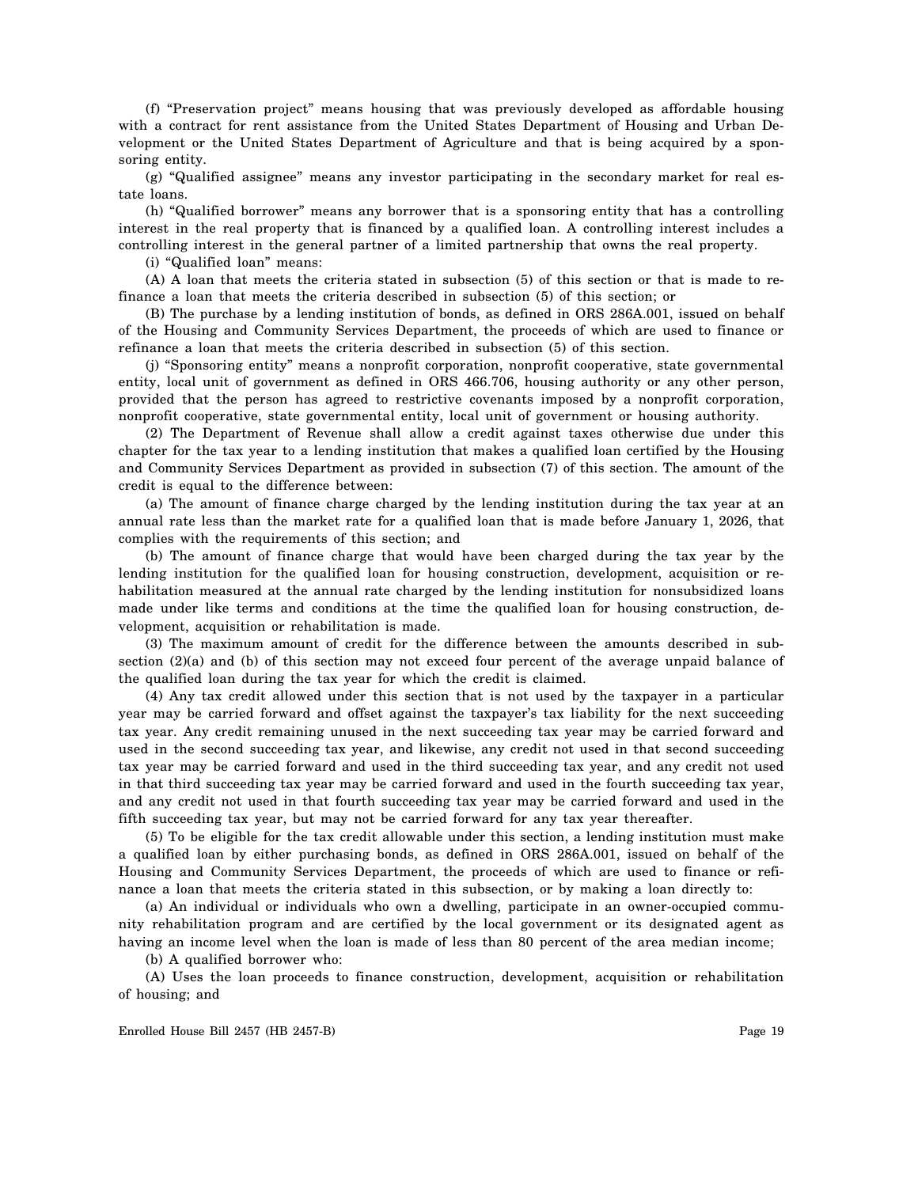(f) "Preservation project" means housing that was previously developed as affordable housing with a contract for rent assistance from the United States Department of Housing and Urban Development or the United States Department of Agriculture and that is being acquired by a sponsoring entity.

(g) "Qualified assignee" means any investor participating in the secondary market for real estate loans.

(h) "Qualified borrower" means any borrower that is a sponsoring entity that has a controlling interest in the real property that is financed by a qualified loan. A controlling interest includes a controlling interest in the general partner of a limited partnership that owns the real property.

(i) "Qualified loan" means:

(A) A loan that meets the criteria stated in subsection (5) of this section or that is made to refinance a loan that meets the criteria described in subsection (5) of this section; or

(B) The purchase by a lending institution of bonds, as defined in ORS 286A.001, issued on behalf of the Housing and Community Services Department, the proceeds of which are used to finance or refinance a loan that meets the criteria described in subsection (5) of this section.

(j) "Sponsoring entity" means a nonprofit corporation, nonprofit cooperative, state governmental entity, local unit of government as defined in ORS 466.706, housing authority or any other person, provided that the person has agreed to restrictive covenants imposed by a nonprofit corporation, nonprofit cooperative, state governmental entity, local unit of government or housing authority.

(2) The Department of Revenue shall allow a credit against taxes otherwise due under this chapter for the tax year to a lending institution that makes a qualified loan certified by the Housing and Community Services Department as provided in subsection (7) of this section. The amount of the credit is equal to the difference between:

(a) The amount of finance charge charged by the lending institution during the tax year at an annual rate less than the market rate for a qualified loan that is made before January 1, 2026, that complies with the requirements of this section; and

(b) The amount of finance charge that would have been charged during the tax year by the lending institution for the qualified loan for housing construction, development, acquisition or rehabilitation measured at the annual rate charged by the lending institution for nonsubsidized loans made under like terms and conditions at the time the qualified loan for housing construction, development, acquisition or rehabilitation is made.

(3) The maximum amount of credit for the difference between the amounts described in subsection  $(2)(a)$  and (b) of this section may not exceed four percent of the average unpaid balance of the qualified loan during the tax year for which the credit is claimed.

(4) Any tax credit allowed under this section that is not used by the taxpayer in a particular year may be carried forward and offset against the taxpayer's tax liability for the next succeeding tax year. Any credit remaining unused in the next succeeding tax year may be carried forward and used in the second succeeding tax year, and likewise, any credit not used in that second succeeding tax year may be carried forward and used in the third succeeding tax year, and any credit not used in that third succeeding tax year may be carried forward and used in the fourth succeeding tax year, and any credit not used in that fourth succeeding tax year may be carried forward and used in the fifth succeeding tax year, but may not be carried forward for any tax year thereafter.

(5) To be eligible for the tax credit allowable under this section, a lending institution must make a qualified loan by either purchasing bonds, as defined in ORS 286A.001, issued on behalf of the Housing and Community Services Department, the proceeds of which are used to finance or refinance a loan that meets the criteria stated in this subsection, or by making a loan directly to:

(a) An individual or individuals who own a dwelling, participate in an owner-occupied community rehabilitation program and are certified by the local government or its designated agent as having an income level when the loan is made of less than 80 percent of the area median income;

(b) A qualified borrower who:

(A) Uses the loan proceeds to finance construction, development, acquisition or rehabilitation of housing; and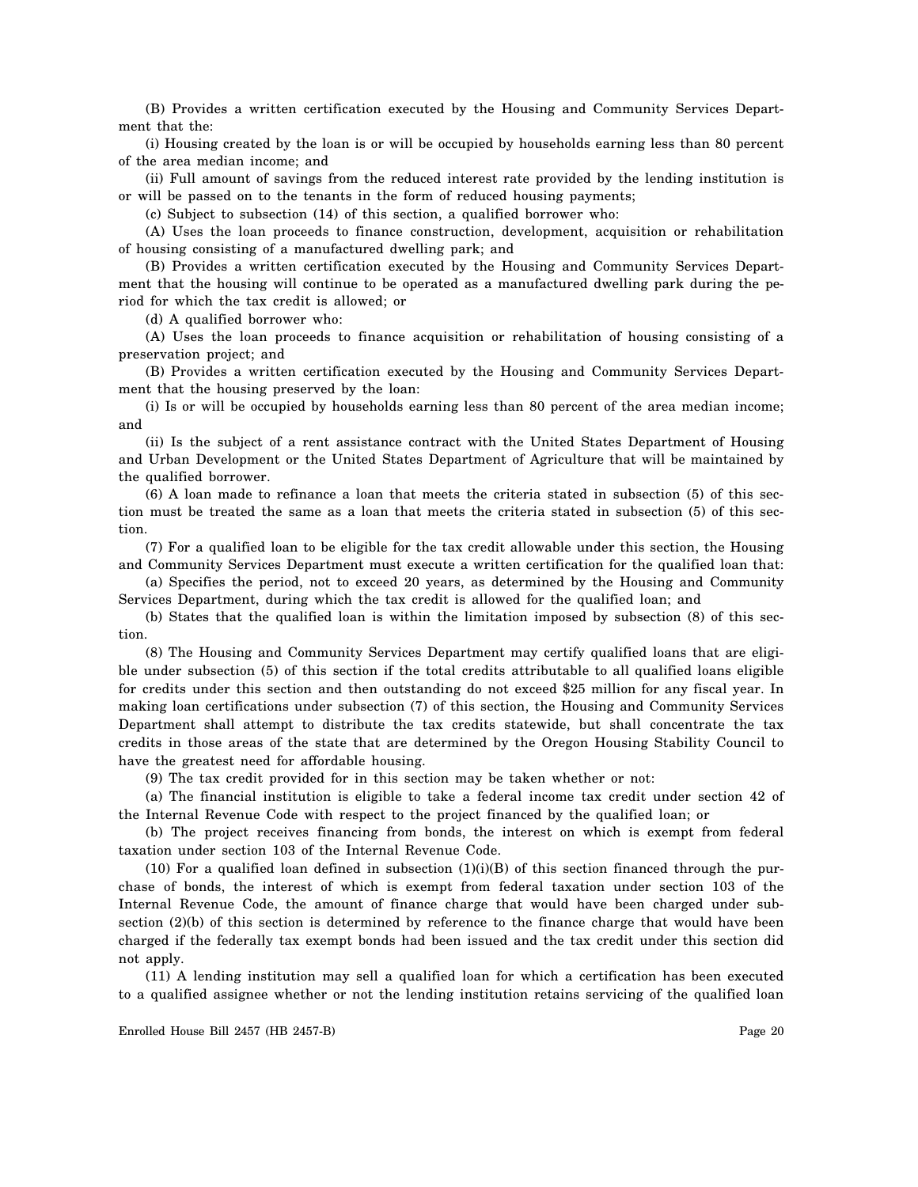(B) Provides a written certification executed by the Housing and Community Services Department that the:

(i) Housing created by the loan is or will be occupied by households earning less than 80 percent of the area median income; and

(ii) Full amount of savings from the reduced interest rate provided by the lending institution is or will be passed on to the tenants in the form of reduced housing payments;

(c) Subject to subsection (14) of this section, a qualified borrower who:

(A) Uses the loan proceeds to finance construction, development, acquisition or rehabilitation of housing consisting of a manufactured dwelling park; and

(B) Provides a written certification executed by the Housing and Community Services Department that the housing will continue to be operated as a manufactured dwelling park during the period for which the tax credit is allowed; or

(d) A qualified borrower who:

(A) Uses the loan proceeds to finance acquisition or rehabilitation of housing consisting of a preservation project; and

(B) Provides a written certification executed by the Housing and Community Services Department that the housing preserved by the loan:

(i) Is or will be occupied by households earning less than 80 percent of the area median income; and

(ii) Is the subject of a rent assistance contract with the United States Department of Housing and Urban Development or the United States Department of Agriculture that will be maintained by the qualified borrower.

(6) A loan made to refinance a loan that meets the criteria stated in subsection (5) of this section must be treated the same as a loan that meets the criteria stated in subsection (5) of this section.

(7) For a qualified loan to be eligible for the tax credit allowable under this section, the Housing and Community Services Department must execute a written certification for the qualified loan that:

(a) Specifies the period, not to exceed 20 years, as determined by the Housing and Community Services Department, during which the tax credit is allowed for the qualified loan; and

(b) States that the qualified loan is within the limitation imposed by subsection (8) of this section.

(8) The Housing and Community Services Department may certify qualified loans that are eligible under subsection (5) of this section if the total credits attributable to all qualified loans eligible for credits under this section and then outstanding do not exceed \$25 million for any fiscal year. In making loan certifications under subsection (7) of this section, the Housing and Community Services Department shall attempt to distribute the tax credits statewide, but shall concentrate the tax credits in those areas of the state that are determined by the Oregon Housing Stability Council to have the greatest need for affordable housing.

(9) The tax credit provided for in this section may be taken whether or not:

(a) The financial institution is eligible to take a federal income tax credit under section 42 of the Internal Revenue Code with respect to the project financed by the qualified loan; or

(b) The project receives financing from bonds, the interest on which is exempt from federal taxation under section 103 of the Internal Revenue Code.

(10) For a qualified loan defined in subsection  $(1)(i)(B)$  of this section financed through the purchase of bonds, the interest of which is exempt from federal taxation under section 103 of the Internal Revenue Code, the amount of finance charge that would have been charged under subsection (2)(b) of this section is determined by reference to the finance charge that would have been charged if the federally tax exempt bonds had been issued and the tax credit under this section did not apply.

(11) A lending institution may sell a qualified loan for which a certification has been executed to a qualified assignee whether or not the lending institution retains servicing of the qualified loan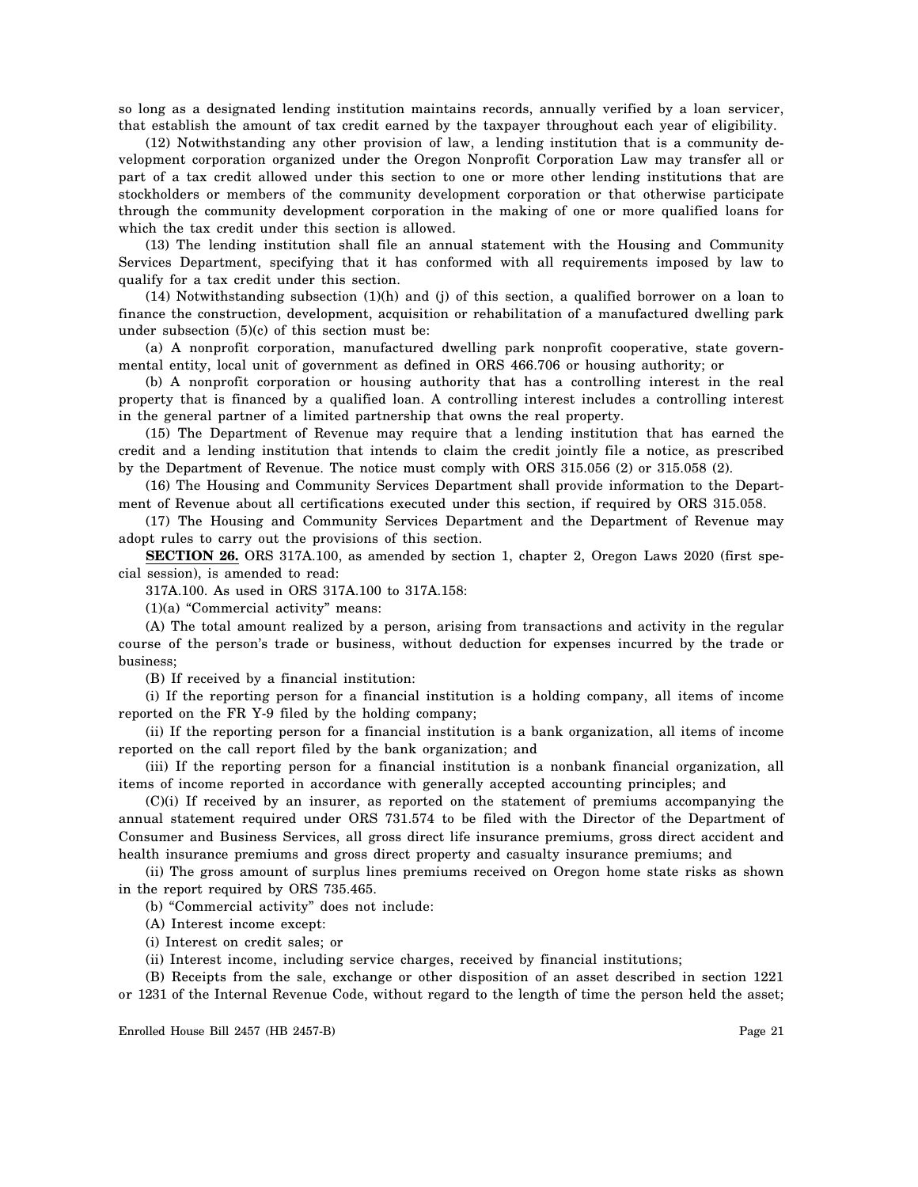so long as a designated lending institution maintains records, annually verified by a loan servicer, that establish the amount of tax credit earned by the taxpayer throughout each year of eligibility.

(12) Notwithstanding any other provision of law, a lending institution that is a community development corporation organized under the Oregon Nonprofit Corporation Law may transfer all or part of a tax credit allowed under this section to one or more other lending institutions that are stockholders or members of the community development corporation or that otherwise participate through the community development corporation in the making of one or more qualified loans for which the tax credit under this section is allowed.

(13) The lending institution shall file an annual statement with the Housing and Community Services Department, specifying that it has conformed with all requirements imposed by law to qualify for a tax credit under this section.

 $(14)$  Notwithstanding subsection  $(1)(h)$  and  $(i)$  of this section, a qualified borrower on a loan to finance the construction, development, acquisition or rehabilitation of a manufactured dwelling park under subsection  $(5)(c)$  of this section must be:

(a) A nonprofit corporation, manufactured dwelling park nonprofit cooperative, state governmental entity, local unit of government as defined in ORS 466.706 or housing authority; or

(b) A nonprofit corporation or housing authority that has a controlling interest in the real property that is financed by a qualified loan. A controlling interest includes a controlling interest in the general partner of a limited partnership that owns the real property.

(15) The Department of Revenue may require that a lending institution that has earned the credit and a lending institution that intends to claim the credit jointly file a notice, as prescribed by the Department of Revenue. The notice must comply with ORS 315.056 (2) or 315.058 (2).

(16) The Housing and Community Services Department shall provide information to the Department of Revenue about all certifications executed under this section, if required by ORS 315.058.

(17) The Housing and Community Services Department and the Department of Revenue may adopt rules to carry out the provisions of this section.

**SECTION 26.** ORS 317A.100, as amended by section 1, chapter 2, Oregon Laws 2020 (first special session), is amended to read:

317A.100. As used in ORS 317A.100 to 317A.158:

(1)(a) "Commercial activity" means:

(A) The total amount realized by a person, arising from transactions and activity in the regular course of the person's trade or business, without deduction for expenses incurred by the trade or business;

(B) If received by a financial institution:

(i) If the reporting person for a financial institution is a holding company, all items of income reported on the FR Y-9 filed by the holding company;

(ii) If the reporting person for a financial institution is a bank organization, all items of income reported on the call report filed by the bank organization; and

(iii) If the reporting person for a financial institution is a nonbank financial organization, all items of income reported in accordance with generally accepted accounting principles; and

(C)(i) If received by an insurer, as reported on the statement of premiums accompanying the annual statement required under ORS 731.574 to be filed with the Director of the Department of Consumer and Business Services, all gross direct life insurance premiums, gross direct accident and health insurance premiums and gross direct property and casualty insurance premiums; and

(ii) The gross amount of surplus lines premiums received on Oregon home state risks as shown in the report required by ORS 735.465.

(b) "Commercial activity" does not include:

(A) Interest income except:

(i) Interest on credit sales; or

(ii) Interest income, including service charges, received by financial institutions;

(B) Receipts from the sale, exchange or other disposition of an asset described in section 1221 or 1231 of the Internal Revenue Code, without regard to the length of time the person held the asset;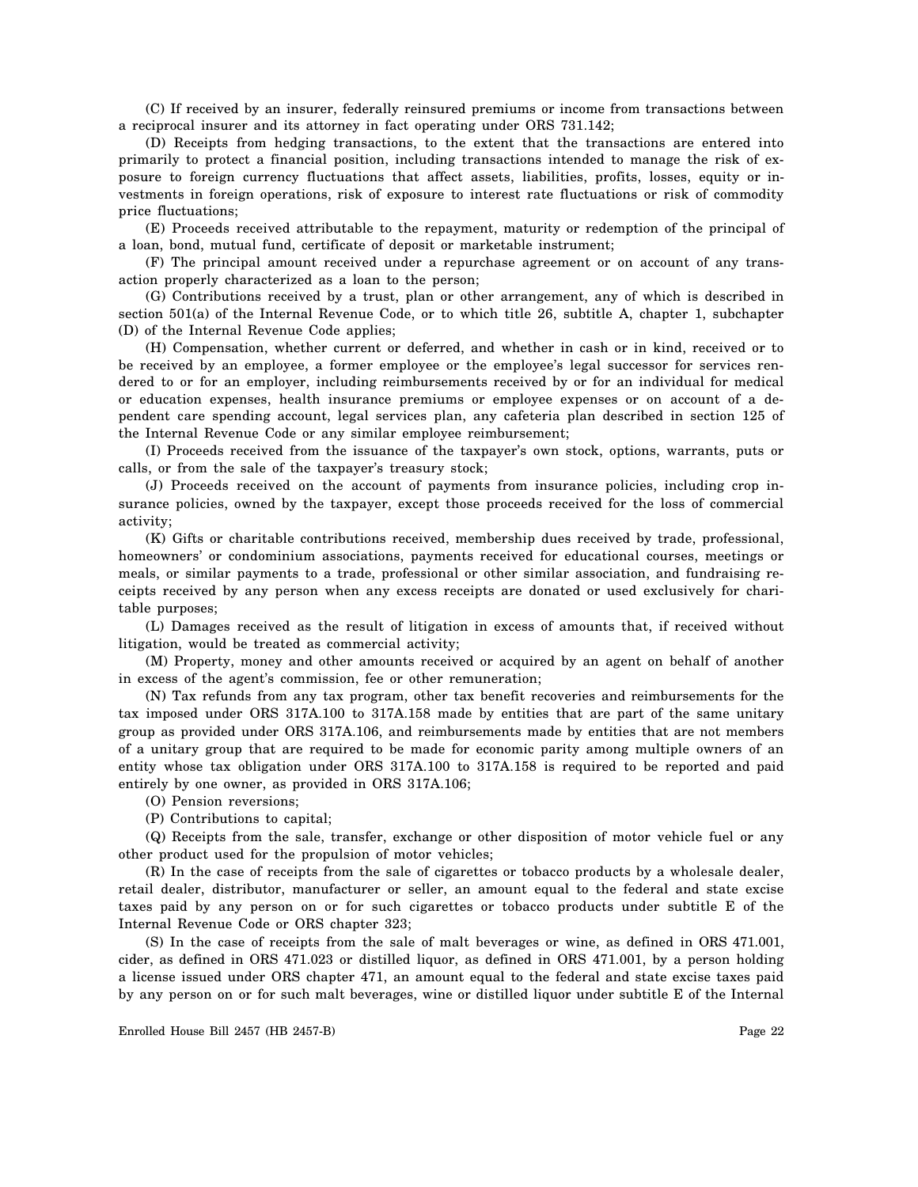(C) If received by an insurer, federally reinsured premiums or income from transactions between a reciprocal insurer and its attorney in fact operating under ORS 731.142;

(D) Receipts from hedging transactions, to the extent that the transactions are entered into primarily to protect a financial position, including transactions intended to manage the risk of exposure to foreign currency fluctuations that affect assets, liabilities, profits, losses, equity or investments in foreign operations, risk of exposure to interest rate fluctuations or risk of commodity price fluctuations;

(E) Proceeds received attributable to the repayment, maturity or redemption of the principal of a loan, bond, mutual fund, certificate of deposit or marketable instrument;

(F) The principal amount received under a repurchase agreement or on account of any transaction properly characterized as a loan to the person;

(G) Contributions received by a trust, plan or other arrangement, any of which is described in section 501(a) of the Internal Revenue Code, or to which title 26, subtitle A, chapter 1, subchapter (D) of the Internal Revenue Code applies;

(H) Compensation, whether current or deferred, and whether in cash or in kind, received or to be received by an employee, a former employee or the employee's legal successor for services rendered to or for an employer, including reimbursements received by or for an individual for medical or education expenses, health insurance premiums or employee expenses or on account of a dependent care spending account, legal services plan, any cafeteria plan described in section 125 of the Internal Revenue Code or any similar employee reimbursement;

(I) Proceeds received from the issuance of the taxpayer's own stock, options, warrants, puts or calls, or from the sale of the taxpayer's treasury stock;

(J) Proceeds received on the account of payments from insurance policies, including crop insurance policies, owned by the taxpayer, except those proceeds received for the loss of commercial activity;

(K) Gifts or charitable contributions received, membership dues received by trade, professional, homeowners' or condominium associations, payments received for educational courses, meetings or meals, or similar payments to a trade, professional or other similar association, and fundraising receipts received by any person when any excess receipts are donated or used exclusively for charitable purposes;

(L) Damages received as the result of litigation in excess of amounts that, if received without litigation, would be treated as commercial activity;

(M) Property, money and other amounts received or acquired by an agent on behalf of another in excess of the agent's commission, fee or other remuneration;

(N) Tax refunds from any tax program, other tax benefit recoveries and reimbursements for the tax imposed under ORS 317A.100 to 317A.158 made by entities that are part of the same unitary group as provided under ORS 317A.106, and reimbursements made by entities that are not members of a unitary group that are required to be made for economic parity among multiple owners of an entity whose tax obligation under ORS 317A.100 to 317A.158 is required to be reported and paid entirely by one owner, as provided in ORS 317A.106;

(O) Pension reversions;

(P) Contributions to capital;

(Q) Receipts from the sale, transfer, exchange or other disposition of motor vehicle fuel or any other product used for the propulsion of motor vehicles;

(R) In the case of receipts from the sale of cigarettes or tobacco products by a wholesale dealer, retail dealer, distributor, manufacturer or seller, an amount equal to the federal and state excise taxes paid by any person on or for such cigarettes or tobacco products under subtitle E of the Internal Revenue Code or ORS chapter 323;

(S) In the case of receipts from the sale of malt beverages or wine, as defined in ORS 471.001, cider, as defined in ORS 471.023 or distilled liquor, as defined in ORS 471.001, by a person holding a license issued under ORS chapter 471, an amount equal to the federal and state excise taxes paid by any person on or for such malt beverages, wine or distilled liquor under subtitle E of the Internal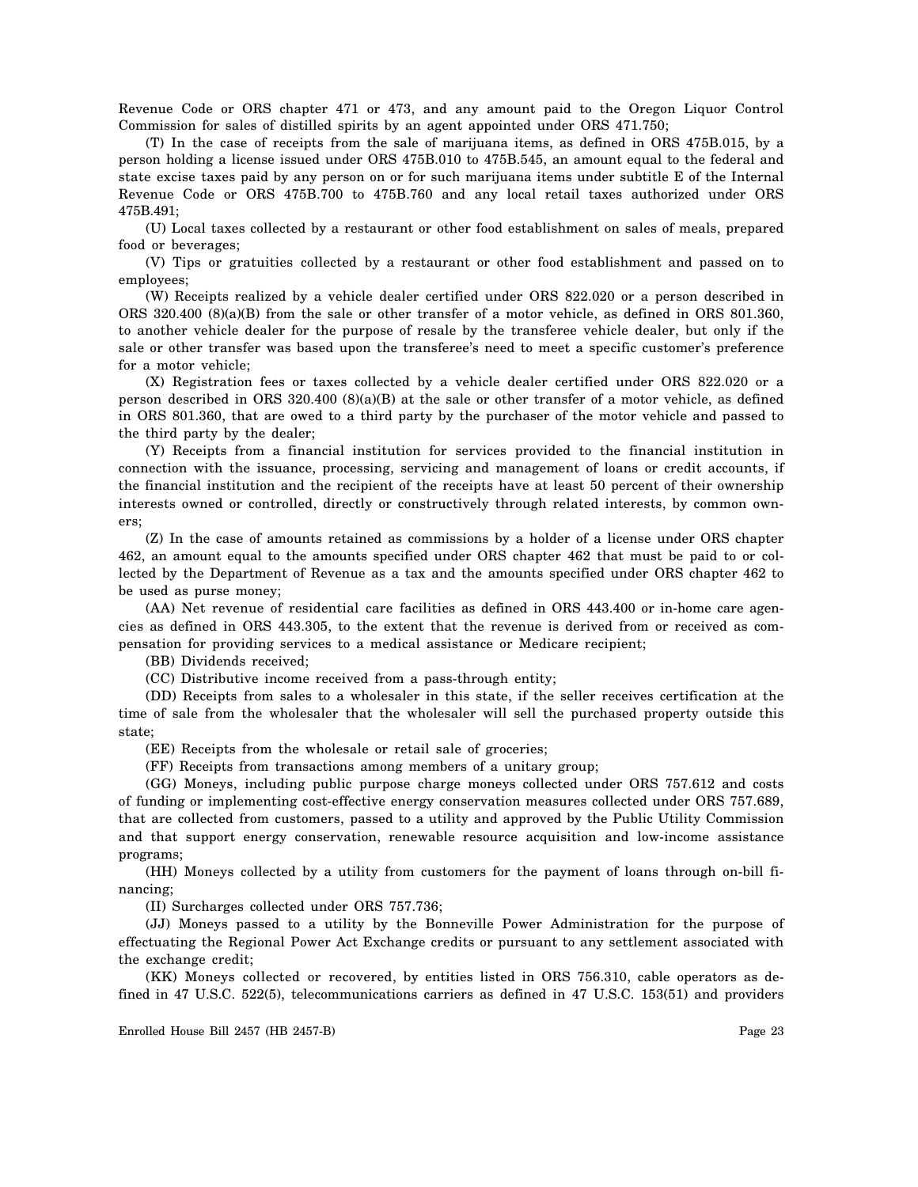Revenue Code or ORS chapter 471 or 473, and any amount paid to the Oregon Liquor Control Commission for sales of distilled spirits by an agent appointed under ORS 471.750;

(T) In the case of receipts from the sale of marijuana items, as defined in ORS 475B.015, by a person holding a license issued under ORS 475B.010 to 475B.545, an amount equal to the federal and state excise taxes paid by any person on or for such marijuana items under subtitle E of the Internal Revenue Code or ORS 475B.700 to 475B.760 and any local retail taxes authorized under ORS 475B.491;

(U) Local taxes collected by a restaurant or other food establishment on sales of meals, prepared food or beverages;

(V) Tips or gratuities collected by a restaurant or other food establishment and passed on to employees;

(W) Receipts realized by a vehicle dealer certified under ORS 822.020 or a person described in ORS 320.400 (8)(a)(B) from the sale or other transfer of a motor vehicle, as defined in ORS 801.360, to another vehicle dealer for the purpose of resale by the transferee vehicle dealer, but only if the sale or other transfer was based upon the transferee's need to meet a specific customer's preference for a motor vehicle;

(X) Registration fees or taxes collected by a vehicle dealer certified under ORS 822.020 or a person described in ORS 320.400 (8)(a)(B) at the sale or other transfer of a motor vehicle, as defined in ORS 801.360, that are owed to a third party by the purchaser of the motor vehicle and passed to the third party by the dealer;

(Y) Receipts from a financial institution for services provided to the financial institution in connection with the issuance, processing, servicing and management of loans or credit accounts, if the financial institution and the recipient of the receipts have at least 50 percent of their ownership interests owned or controlled, directly or constructively through related interests, by common owners;

(Z) In the case of amounts retained as commissions by a holder of a license under ORS chapter 462, an amount equal to the amounts specified under ORS chapter 462 that must be paid to or collected by the Department of Revenue as a tax and the amounts specified under ORS chapter 462 to be used as purse money;

(AA) Net revenue of residential care facilities as defined in ORS 443.400 or in-home care agencies as defined in ORS 443.305, to the extent that the revenue is derived from or received as compensation for providing services to a medical assistance or Medicare recipient;

(BB) Dividends received;

(CC) Distributive income received from a pass-through entity;

(DD) Receipts from sales to a wholesaler in this state, if the seller receives certification at the time of sale from the wholesaler that the wholesaler will sell the purchased property outside this state;

(EE) Receipts from the wholesale or retail sale of groceries;

(FF) Receipts from transactions among members of a unitary group;

(GG) Moneys, including public purpose charge moneys collected under ORS 757.612 and costs of funding or implementing cost-effective energy conservation measures collected under ORS 757.689, that are collected from customers, passed to a utility and approved by the Public Utility Commission and that support energy conservation, renewable resource acquisition and low-income assistance programs;

(HH) Moneys collected by a utility from customers for the payment of loans through on-bill financing;

(II) Surcharges collected under ORS 757.736;

(JJ) Moneys passed to a utility by the Bonneville Power Administration for the purpose of effectuating the Regional Power Act Exchange credits or pursuant to any settlement associated with the exchange credit;

(KK) Moneys collected or recovered, by entities listed in ORS 756.310, cable operators as defined in 47 U.S.C. 522(5), telecommunications carriers as defined in 47 U.S.C. 153(51) and providers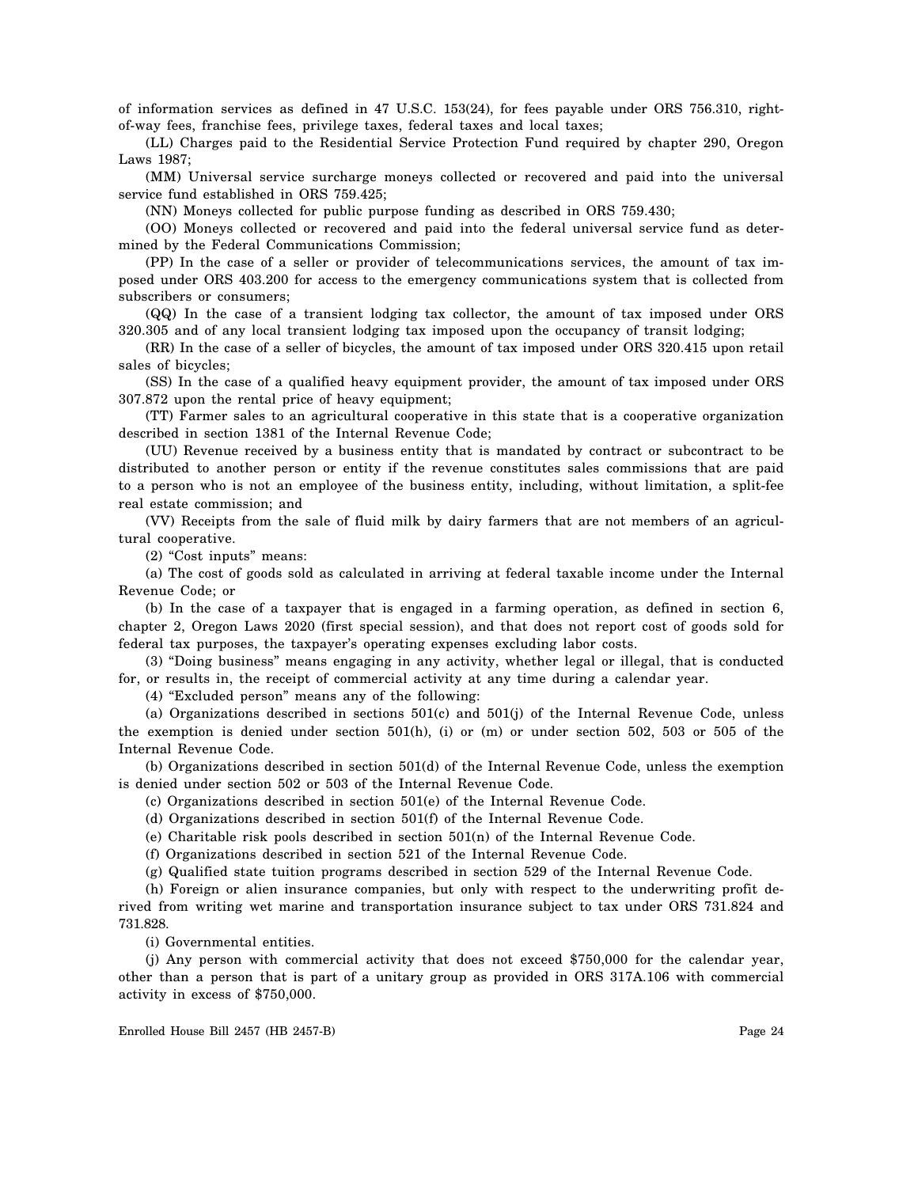of information services as defined in 47 U.S.C. 153(24), for fees payable under ORS 756.310, rightof-way fees, franchise fees, privilege taxes, federal taxes and local taxes;

(LL) Charges paid to the Residential Service Protection Fund required by chapter 290, Oregon Laws 1987;

(MM) Universal service surcharge moneys collected or recovered and paid into the universal service fund established in ORS 759.425;

(NN) Moneys collected for public purpose funding as described in ORS 759.430;

(OO) Moneys collected or recovered and paid into the federal universal service fund as determined by the Federal Communications Commission;

(PP) In the case of a seller or provider of telecommunications services, the amount of tax imposed under ORS 403.200 for access to the emergency communications system that is collected from subscribers or consumers;

(QQ) In the case of a transient lodging tax collector, the amount of tax imposed under ORS 320.305 and of any local transient lodging tax imposed upon the occupancy of transit lodging;

(RR) In the case of a seller of bicycles, the amount of tax imposed under ORS 320.415 upon retail sales of bicycles;

(SS) In the case of a qualified heavy equipment provider, the amount of tax imposed under ORS 307.872 upon the rental price of heavy equipment;

(TT) Farmer sales to an agricultural cooperative in this state that is a cooperative organization described in section 1381 of the Internal Revenue Code;

(UU) Revenue received by a business entity that is mandated by contract or subcontract to be distributed to another person or entity if the revenue constitutes sales commissions that are paid to a person who is not an employee of the business entity, including, without limitation, a split-fee real estate commission; and

(VV) Receipts from the sale of fluid milk by dairy farmers that are not members of an agricultural cooperative.

(2) "Cost inputs" means:

(a) The cost of goods sold as calculated in arriving at federal taxable income under the Internal Revenue Code; or

(b) In the case of a taxpayer that is engaged in a farming operation, as defined in section 6, chapter 2, Oregon Laws 2020 (first special session), and that does not report cost of goods sold for federal tax purposes, the taxpayer's operating expenses excluding labor costs.

(3) "Doing business" means engaging in any activity, whether legal or illegal, that is conducted for, or results in, the receipt of commercial activity at any time during a calendar year.

(4) "Excluded person" means any of the following:

(a) Organizations described in sections 501(c) and 501(j) of the Internal Revenue Code, unless the exemption is denied under section 501(h), (i) or (m) or under section 502, 503 or 505 of the Internal Revenue Code.

(b) Organizations described in section 501(d) of the Internal Revenue Code, unless the exemption is denied under section 502 or 503 of the Internal Revenue Code.

(c) Organizations described in section 501(e) of the Internal Revenue Code.

(d) Organizations described in section 501(f) of the Internal Revenue Code.

(e) Charitable risk pools described in section 501(n) of the Internal Revenue Code.

(f) Organizations described in section 521 of the Internal Revenue Code.

(g) Qualified state tuition programs described in section 529 of the Internal Revenue Code.

(h) Foreign or alien insurance companies, but only with respect to the underwriting profit derived from writing wet marine and transportation insurance subject to tax under ORS 731.824 and 731.828.

(i) Governmental entities.

(j) Any person with commercial activity that does not exceed \$750,000 for the calendar year, other than a person that is part of a unitary group as provided in ORS 317A.106 with commercial activity in excess of \$750,000.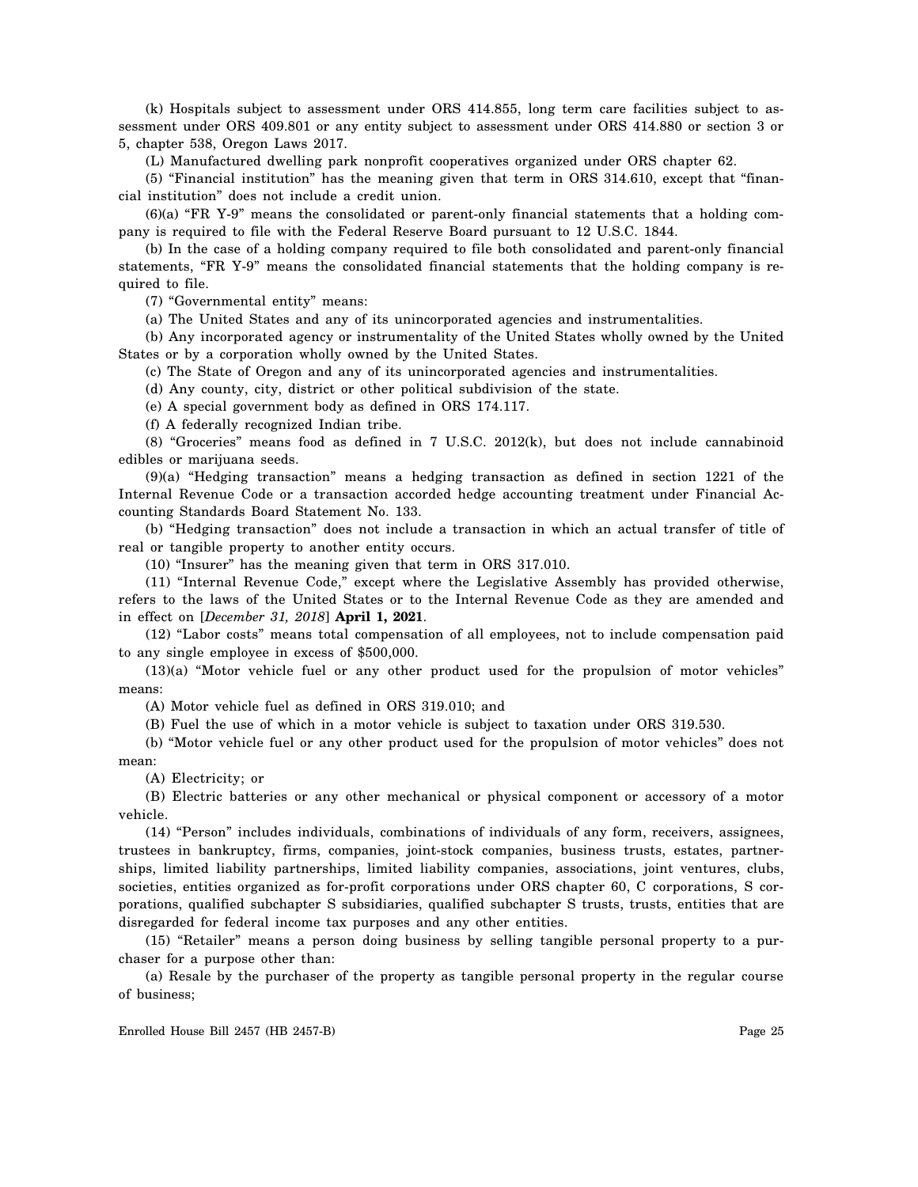(k) Hospitals subject to assessment under ORS 414.855, long term care facilities subject to assessment under ORS 409.801 or any entity subject to assessment under ORS 414.880 or section 3 or 5, chapter 538, Oregon Laws 2017.

(L) Manufactured dwelling park nonprofit cooperatives organized under ORS chapter 62.

(5) "Financial institution" has the meaning given that term in ORS 314.610, except that "financial institution" does not include a credit union.

(6)(a) "FR Y-9" means the consolidated or parent-only financial statements that a holding company is required to file with the Federal Reserve Board pursuant to 12 U.S.C. 1844.

(b) In the case of a holding company required to file both consolidated and parent-only financial statements, "FR Y-9" means the consolidated financial statements that the holding company is required to file.

(7) "Governmental entity" means:

(a) The United States and any of its unincorporated agencies and instrumentalities.

(b) Any incorporated agency or instrumentality of the United States wholly owned by the United States or by a corporation wholly owned by the United States.

(c) The State of Oregon and any of its unincorporated agencies and instrumentalities.

(d) Any county, city, district or other political subdivision of the state.

(e) A special government body as defined in ORS 174.117.

(f) A federally recognized Indian tribe.

(8) "Groceries" means food as defined in 7 U.S.C. 2012(k), but does not include cannabinoid edibles or marijuana seeds.

(9)(a) "Hedging transaction" means a hedging transaction as defined in section 1221 of the Internal Revenue Code or a transaction accorded hedge accounting treatment under Financial Accounting Standards Board Statement No. 133.

(b) "Hedging transaction" does not include a transaction in which an actual transfer of title of real or tangible property to another entity occurs.

(10) "Insurer" has the meaning given that term in ORS 317.010.

(11) "Internal Revenue Code," except where the Legislative Assembly has provided otherwise, refers to the laws of the United States or to the Internal Revenue Code as they are amended and in effect on [*December 31, 2018*] **April 1, 2021**.

(12) "Labor costs" means total compensation of all employees, not to include compensation paid to any single employee in excess of \$500,000.

(13)(a) "Motor vehicle fuel or any other product used for the propulsion of motor vehicles" means:

(A) Motor vehicle fuel as defined in ORS 319.010; and

(B) Fuel the use of which in a motor vehicle is subject to taxation under ORS 319.530.

(b) "Motor vehicle fuel or any other product used for the propulsion of motor vehicles" does not mean:

(A) Electricity; or

(B) Electric batteries or any other mechanical or physical component or accessory of a motor vehicle.

(14) "Person" includes individuals, combinations of individuals of any form, receivers, assignees, trustees in bankruptcy, firms, companies, joint-stock companies, business trusts, estates, partnerships, limited liability partnerships, limited liability companies, associations, joint ventures, clubs, societies, entities organized as for-profit corporations under ORS chapter 60, C corporations, S corporations, qualified subchapter S subsidiaries, qualified subchapter S trusts, trusts, entities that are disregarded for federal income tax purposes and any other entities.

(15) "Retailer" means a person doing business by selling tangible personal property to a purchaser for a purpose other than:

(a) Resale by the purchaser of the property as tangible personal property in the regular course of business;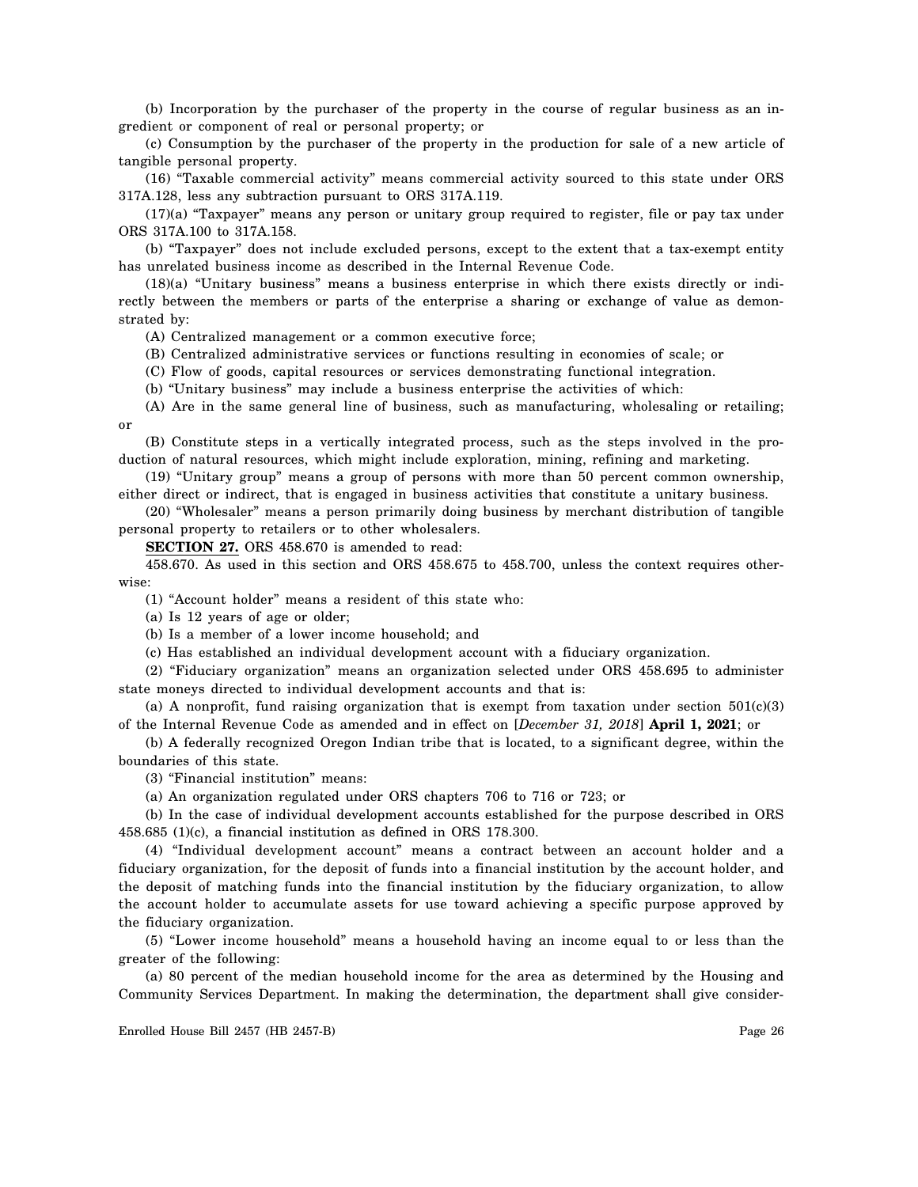(b) Incorporation by the purchaser of the property in the course of regular business as an ingredient or component of real or personal property; or

(c) Consumption by the purchaser of the property in the production for sale of a new article of tangible personal property.

(16) "Taxable commercial activity" means commercial activity sourced to this state under ORS 317A.128, less any subtraction pursuant to ORS 317A.119.

(17)(a) "Taxpayer" means any person or unitary group required to register, file or pay tax under ORS 317A.100 to 317A.158.

(b) "Taxpayer" does not include excluded persons, except to the extent that a tax-exempt entity has unrelated business income as described in the Internal Revenue Code.

(18)(a) "Unitary business" means a business enterprise in which there exists directly or indirectly between the members or parts of the enterprise a sharing or exchange of value as demonstrated by:

(A) Centralized management or a common executive force;

(B) Centralized administrative services or functions resulting in economies of scale; or

(C) Flow of goods, capital resources or services demonstrating functional integration.

(b) "Unitary business" may include a business enterprise the activities of which:

(A) Are in the same general line of business, such as manufacturing, wholesaling or retailing; or

(B) Constitute steps in a vertically integrated process, such as the steps involved in the production of natural resources, which might include exploration, mining, refining and marketing.

(19) "Unitary group" means a group of persons with more than 50 percent common ownership, either direct or indirect, that is engaged in business activities that constitute a unitary business.

(20) "Wholesaler" means a person primarily doing business by merchant distribution of tangible personal property to retailers or to other wholesalers.

**SECTION 27.** ORS 458.670 is amended to read:

458.670. As used in this section and ORS 458.675 to 458.700, unless the context requires otherwise:

(1) "Account holder" means a resident of this state who:

(a) Is 12 years of age or older;

(b) Is a member of a lower income household; and

(c) Has established an individual development account with a fiduciary organization.

(2) "Fiduciary organization" means an organization selected under ORS 458.695 to administer state moneys directed to individual development accounts and that is:

(a) A nonprofit, fund raising organization that is exempt from taxation under section  $501(c)(3)$ of the Internal Revenue Code as amended and in effect on [*December 31, 2018*] **April 1, 2021**; or

(b) A federally recognized Oregon Indian tribe that is located, to a significant degree, within the boundaries of this state.

(3) "Financial institution" means:

(a) An organization regulated under ORS chapters 706 to 716 or 723; or

(b) In the case of individual development accounts established for the purpose described in ORS 458.685 (1)(c), a financial institution as defined in ORS 178.300.

(4) "Individual development account" means a contract between an account holder and a fiduciary organization, for the deposit of funds into a financial institution by the account holder, and the deposit of matching funds into the financial institution by the fiduciary organization, to allow the account holder to accumulate assets for use toward achieving a specific purpose approved by the fiduciary organization.

(5) "Lower income household" means a household having an income equal to or less than the greater of the following:

(a) 80 percent of the median household income for the area as determined by the Housing and Community Services Department. In making the determination, the department shall give consider-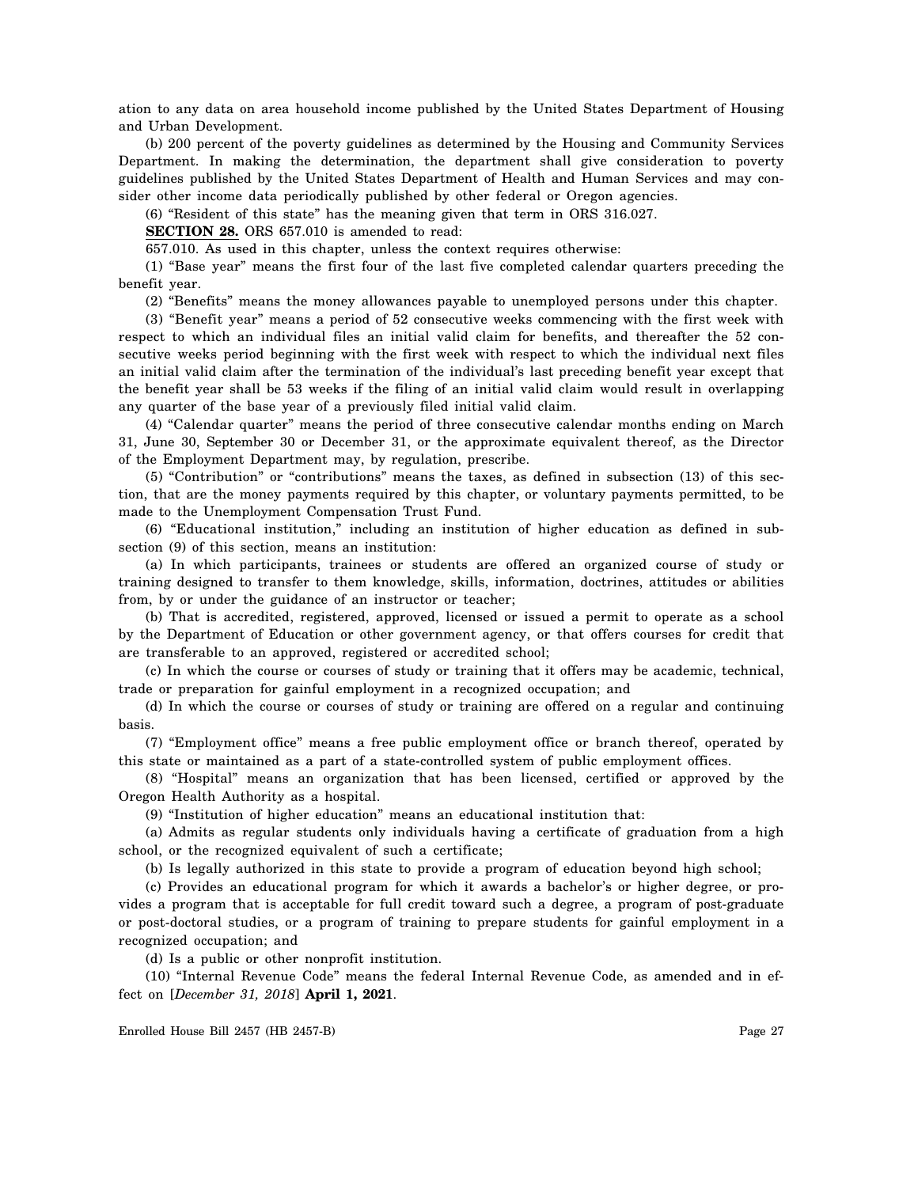ation to any data on area household income published by the United States Department of Housing and Urban Development.

(b) 200 percent of the poverty guidelines as determined by the Housing and Community Services Department. In making the determination, the department shall give consideration to poverty guidelines published by the United States Department of Health and Human Services and may consider other income data periodically published by other federal or Oregon agencies.

(6) "Resident of this state" has the meaning given that term in ORS 316.027.

**SECTION 28.** ORS 657.010 is amended to read:

657.010. As used in this chapter, unless the context requires otherwise:

(1) "Base year" means the first four of the last five completed calendar quarters preceding the benefit year.

(2) "Benefits" means the money allowances payable to unemployed persons under this chapter.

(3) "Benefit year" means a period of 52 consecutive weeks commencing with the first week with respect to which an individual files an initial valid claim for benefits, and thereafter the 52 consecutive weeks period beginning with the first week with respect to which the individual next files an initial valid claim after the termination of the individual's last preceding benefit year except that the benefit year shall be 53 weeks if the filing of an initial valid claim would result in overlapping any quarter of the base year of a previously filed initial valid claim.

(4) "Calendar quarter" means the period of three consecutive calendar months ending on March 31, June 30, September 30 or December 31, or the approximate equivalent thereof, as the Director of the Employment Department may, by regulation, prescribe.

(5) "Contribution" or "contributions" means the taxes, as defined in subsection (13) of this section, that are the money payments required by this chapter, or voluntary payments permitted, to be made to the Unemployment Compensation Trust Fund.

(6) "Educational institution," including an institution of higher education as defined in subsection (9) of this section, means an institution:

(a) In which participants, trainees or students are offered an organized course of study or training designed to transfer to them knowledge, skills, information, doctrines, attitudes or abilities from, by or under the guidance of an instructor or teacher;

(b) That is accredited, registered, approved, licensed or issued a permit to operate as a school by the Department of Education or other government agency, or that offers courses for credit that are transferable to an approved, registered or accredited school;

(c) In which the course or courses of study or training that it offers may be academic, technical, trade or preparation for gainful employment in a recognized occupation; and

(d) In which the course or courses of study or training are offered on a regular and continuing basis.

(7) "Employment office" means a free public employment office or branch thereof, operated by this state or maintained as a part of a state-controlled system of public employment offices.

(8) "Hospital" means an organization that has been licensed, certified or approved by the Oregon Health Authority as a hospital.

(9) "Institution of higher education" means an educational institution that:

(a) Admits as regular students only individuals having a certificate of graduation from a high school, or the recognized equivalent of such a certificate;

(b) Is legally authorized in this state to provide a program of education beyond high school;

(c) Provides an educational program for which it awards a bachelor's or higher degree, or provides a program that is acceptable for full credit toward such a degree, a program of post-graduate or post-doctoral studies, or a program of training to prepare students for gainful employment in a recognized occupation; and

(d) Is a public or other nonprofit institution.

(10) "Internal Revenue Code" means the federal Internal Revenue Code, as amended and in effect on [*December 31, 2018*] **April 1, 2021**.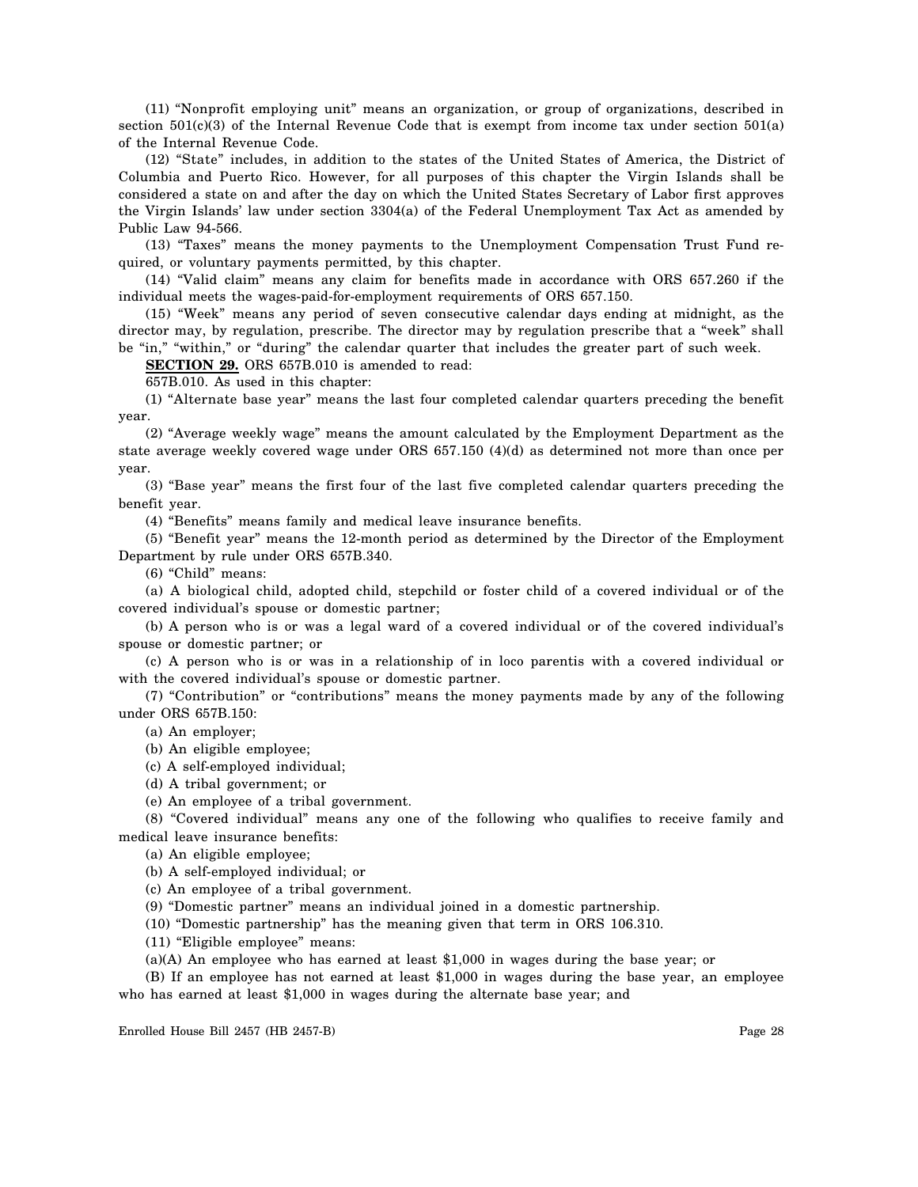(11) "Nonprofit employing unit" means an organization, or group of organizations, described in section  $501(c)(3)$  of the Internal Revenue Code that is exempt from income tax under section  $501(a)$ of the Internal Revenue Code.

(12) "State" includes, in addition to the states of the United States of America, the District of Columbia and Puerto Rico. However, for all purposes of this chapter the Virgin Islands shall be considered a state on and after the day on which the United States Secretary of Labor first approves the Virgin Islands' law under section 3304(a) of the Federal Unemployment Tax Act as amended by Public Law 94-566.

(13) "Taxes" means the money payments to the Unemployment Compensation Trust Fund required, or voluntary payments permitted, by this chapter.

(14) "Valid claim" means any claim for benefits made in accordance with ORS 657.260 if the individual meets the wages-paid-for-employment requirements of ORS 657.150.

(15) "Week" means any period of seven consecutive calendar days ending at midnight, as the director may, by regulation, prescribe. The director may by regulation prescribe that a "week" shall be "in," "within," or "during" the calendar quarter that includes the greater part of such week.

**SECTION 29.** ORS 657B.010 is amended to read:

657B.010. As used in this chapter:

(1) "Alternate base year" means the last four completed calendar quarters preceding the benefit year.

(2) "Average weekly wage" means the amount calculated by the Employment Department as the state average weekly covered wage under ORS 657.150 (4)(d) as determined not more than once per year.

(3) "Base year" means the first four of the last five completed calendar quarters preceding the benefit year.

(4) "Benefits" means family and medical leave insurance benefits.

(5) "Benefit year" means the 12-month period as determined by the Director of the Employment Department by rule under ORS 657B.340.

(6) "Child" means:

(a) A biological child, adopted child, stepchild or foster child of a covered individual or of the covered individual's spouse or domestic partner;

(b) A person who is or was a legal ward of a covered individual or of the covered individual's spouse or domestic partner; or

(c) A person who is or was in a relationship of in loco parentis with a covered individual or with the covered individual's spouse or domestic partner.

(7) "Contribution" or "contributions" means the money payments made by any of the following under ORS 657B.150:

(a) An employer;

(b) An eligible employee;

(c) A self-employed individual;

(d) A tribal government; or

(e) An employee of a tribal government.

(8) "Covered individual" means any one of the following who qualifies to receive family and medical leave insurance benefits:

(a) An eligible employee;

(b) A self-employed individual; or

(c) An employee of a tribal government.

(9) "Domestic partner" means an individual joined in a domestic partnership.

(10) "Domestic partnership" has the meaning given that term in ORS 106.310.

(11) "Eligible employee" means:

(a)(A) An employee who has earned at least \$1,000 in wages during the base year; or

(B) If an employee has not earned at least \$1,000 in wages during the base year, an employee who has earned at least \$1,000 in wages during the alternate base year; and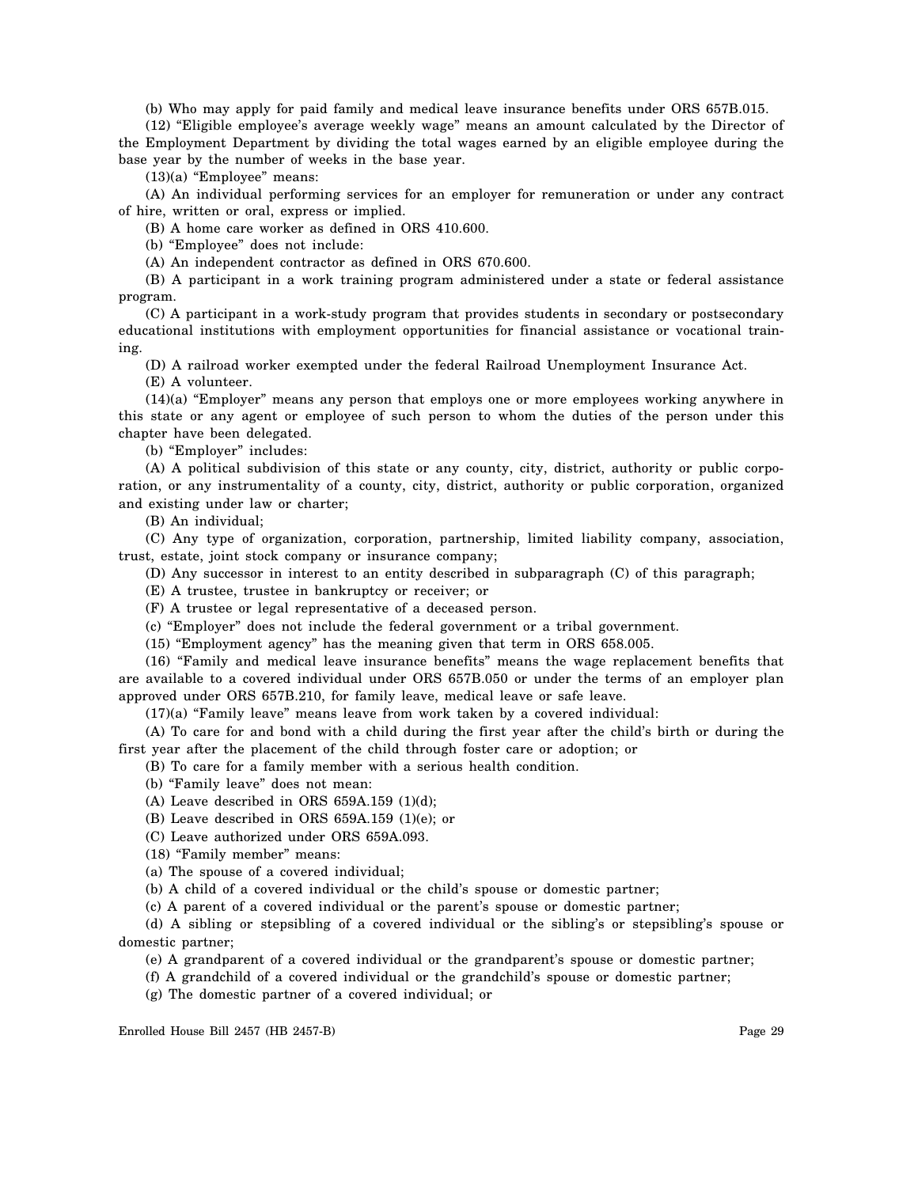(b) Who may apply for paid family and medical leave insurance benefits under ORS 657B.015.

(12) "Eligible employee's average weekly wage" means an amount calculated by the Director of the Employment Department by dividing the total wages earned by an eligible employee during the base year by the number of weeks in the base year.

(13)(a) "Employee" means:

(A) An individual performing services for an employer for remuneration or under any contract of hire, written or oral, express or implied.

(B) A home care worker as defined in ORS 410.600.

(b) "Employee" does not include:

(A) An independent contractor as defined in ORS 670.600.

(B) A participant in a work training program administered under a state or federal assistance program.

(C) A participant in a work-study program that provides students in secondary or postsecondary educational institutions with employment opportunities for financial assistance or vocational training.

(D) A railroad worker exempted under the federal Railroad Unemployment Insurance Act.

(E) A volunteer.

(14)(a) "Employer" means any person that employs one or more employees working anywhere in this state or any agent or employee of such person to whom the duties of the person under this chapter have been delegated.

(b) "Employer" includes:

(A) A political subdivision of this state or any county, city, district, authority or public corporation, or any instrumentality of a county, city, district, authority or public corporation, organized and existing under law or charter;

(B) An individual;

(C) Any type of organization, corporation, partnership, limited liability company, association, trust, estate, joint stock company or insurance company;

(D) Any successor in interest to an entity described in subparagraph (C) of this paragraph;

(E) A trustee, trustee in bankruptcy or receiver; or

(F) A trustee or legal representative of a deceased person.

(c) "Employer" does not include the federal government or a tribal government.

(15) "Employment agency" has the meaning given that term in ORS 658.005.

(16) "Family and medical leave insurance benefits" means the wage replacement benefits that are available to a covered individual under ORS 657B.050 or under the terms of an employer plan approved under ORS 657B.210, for family leave, medical leave or safe leave.

(17)(a) "Family leave" means leave from work taken by a covered individual:

(A) To care for and bond with a child during the first year after the child's birth or during the first year after the placement of the child through foster care or adoption; or

(B) To care for a family member with a serious health condition.

(b) "Family leave" does not mean:

(A) Leave described in ORS  $659A.159$  (1)(d);

(B) Leave described in ORS 659A.159 (1)(e); or

(C) Leave authorized under ORS 659A.093.

(18) "Family member" means:

(a) The spouse of a covered individual;

(b) A child of a covered individual or the child's spouse or domestic partner;

(c) A parent of a covered individual or the parent's spouse or domestic partner;

(d) A sibling or stepsibling of a covered individual or the sibling's or stepsibling's spouse or domestic partner;

(e) A grandparent of a covered individual or the grandparent's spouse or domestic partner;

(f) A grandchild of a covered individual or the grandchild's spouse or domestic partner;

(g) The domestic partner of a covered individual; or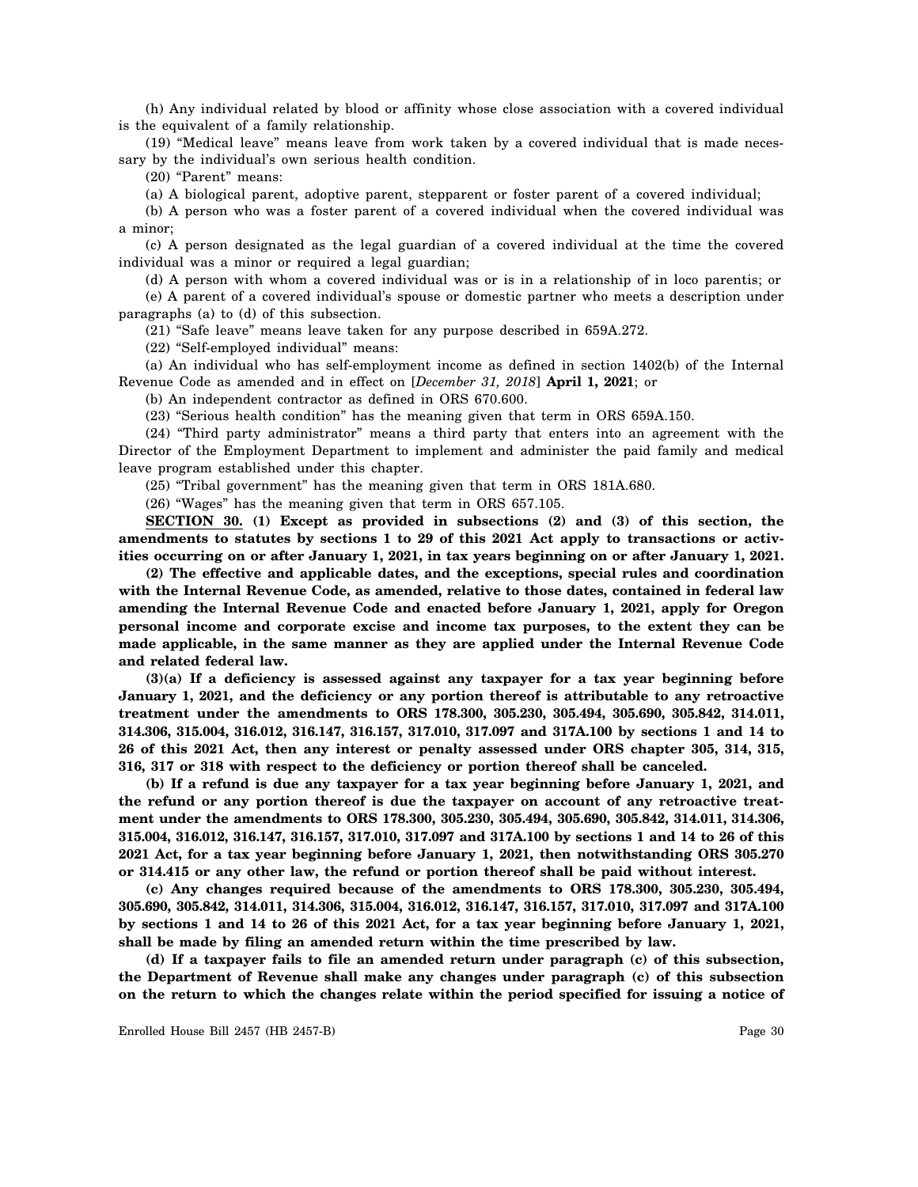(h) Any individual related by blood or affinity whose close association with a covered individual is the equivalent of a family relationship.

(19) "Medical leave" means leave from work taken by a covered individual that is made necessary by the individual's own serious health condition.

(20) "Parent" means:

(a) A biological parent, adoptive parent, stepparent or foster parent of a covered individual;

(b) A person who was a foster parent of a covered individual when the covered individual was a minor;

(c) A person designated as the legal guardian of a covered individual at the time the covered individual was a minor or required a legal guardian;

(d) A person with whom a covered individual was or is in a relationship of in loco parentis; or (e) A parent of a covered individual's spouse or domestic partner who meets a description under paragraphs (a) to (d) of this subsection.

(21) "Safe leave" means leave taken for any purpose described in 659A.272.

(22) "Self-employed individual" means:

(a) An individual who has self-employment income as defined in section 1402(b) of the Internal Revenue Code as amended and in effect on [*December 31, 2018*] **April 1, 2021**; or

(b) An independent contractor as defined in ORS 670.600.

(23) "Serious health condition" has the meaning given that term in ORS 659A.150.

(24) "Third party administrator" means a third party that enters into an agreement with the Director of the Employment Department to implement and administer the paid family and medical leave program established under this chapter.

(25) "Tribal government" has the meaning given that term in ORS 181A.680.

(26) "Wages" has the meaning given that term in ORS 657.105.

**SECTION 30. (1) Except as provided in subsections (2) and (3) of this section, the amendments to statutes by sections 1 to 29 of this 2021 Act apply to transactions or activities occurring on or after January 1, 2021, in tax years beginning on or after January 1, 2021.**

**(2) The effective and applicable dates, and the exceptions, special rules and coordination with the Internal Revenue Code, as amended, relative to those dates, contained in federal law amending the Internal Revenue Code and enacted before January 1, 2021, apply for Oregon personal income and corporate excise and income tax purposes, to the extent they can be made applicable, in the same manner as they are applied under the Internal Revenue Code and related federal law.**

**(3)(a) If a deficiency is assessed against any taxpayer for a tax year beginning before January 1, 2021, and the deficiency or any portion thereof is attributable to any retroactive treatment under the amendments to ORS 178.300, 305.230, 305.494, 305.690, 305.842, 314.011, 314.306, 315.004, 316.012, 316.147, 316.157, 317.010, 317.097 and 317A.100 by sections 1 and 14 to 26 of this 2021 Act, then any interest or penalty assessed under ORS chapter 305, 314, 315, 316, 317 or 318 with respect to the deficiency or portion thereof shall be canceled.**

**(b) If a refund is due any taxpayer for a tax year beginning before January 1, 2021, and the refund or any portion thereof is due the taxpayer on account of any retroactive treatment under the amendments to ORS 178.300, 305.230, 305.494, 305.690, 305.842, 314.011, 314.306, 315.004, 316.012, 316.147, 316.157, 317.010, 317.097 and 317A.100 by sections 1 and 14 to 26 of this 2021 Act, for a tax year beginning before January 1, 2021, then notwithstanding ORS 305.270 or 314.415 or any other law, the refund or portion thereof shall be paid without interest.**

**(c) Any changes required because of the amendments to ORS 178.300, 305.230, 305.494, 305.690, 305.842, 314.011, 314.306, 315.004, 316.012, 316.147, 316.157, 317.010, 317.097 and 317A.100 by sections 1 and 14 to 26 of this 2021 Act, for a tax year beginning before January 1, 2021, shall be made by filing an amended return within the time prescribed by law.**

**(d) If a taxpayer fails to file an amended return under paragraph (c) of this subsection, the Department of Revenue shall make any changes under paragraph (c) of this subsection on the return to which the changes relate within the period specified for issuing a notice of**